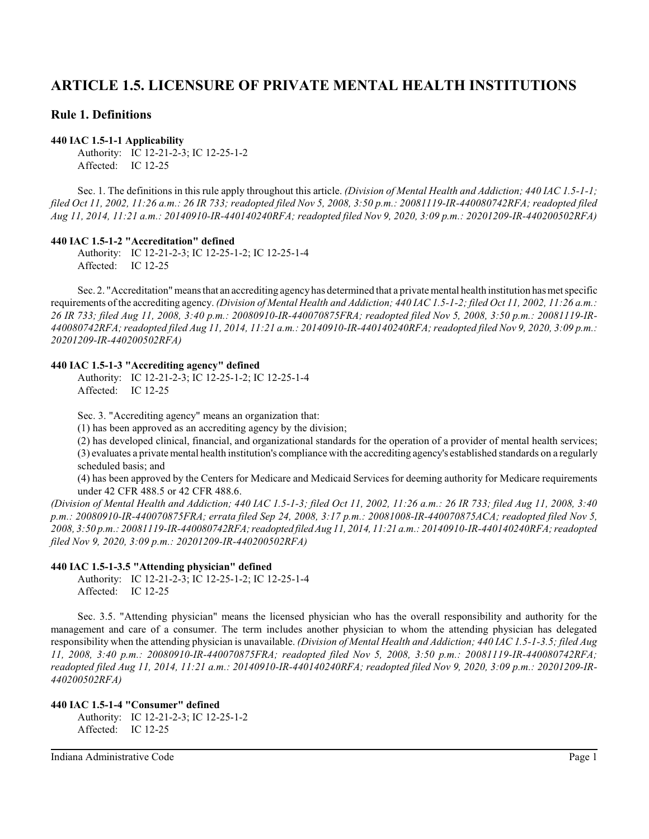# **ARTICLE 1.5. LICENSURE OF PRIVATE MENTAL HEALTH INSTITUTIONS**

# **Rule 1. Definitions**

## **440 IAC 1.5-1-1 Applicability**

Authority: IC 12-21-2-3; IC 12-25-1-2 Affected: IC 12-25

Sec. 1. The definitions in this rule apply throughout this article. *(Division of Mental Health and Addiction; 440 IAC 1.5-1-1; filed Oct 11, 2002, 11:26 a.m.: 26 IR 733; readopted filed Nov 5, 2008, 3:50 p.m.: 20081119-IR-440080742RFA; readopted filed Aug 11, 2014, 11:21 a.m.: 20140910-IR-440140240RFA; readopted filed Nov 9, 2020, 3:09 p.m.: 20201209-IR-440200502RFA)*

## **440 IAC 1.5-1-2 "Accreditation" defined**

Authority: IC 12-21-2-3; IC 12-25-1-2; IC 12-25-1-4 Affected: IC 12-25

Sec. 2. "Accreditation" means that an accrediting agency has determined that a private mental health institution has met specific requirements of the accrediting agency. *(Division of Mental Health and Addiction; 440 IAC 1.5-1-2; filed Oct 11, 2002, 11:26 a.m.: 26 IR 733; filed Aug 11, 2008, 3:40 p.m.: 20080910-IR-440070875FRA; readopted filed Nov 5, 2008, 3:50 p.m.: 20081119-IR-440080742RFA; readopted filed Aug 11, 2014, 11:21 a.m.: 20140910-IR-440140240RFA; readopted filed Nov 9, 2020, 3:09 p.m.: 20201209-IR-440200502RFA)*

#### **440 IAC 1.5-1-3 "Accrediting agency" defined**

Authority: IC 12-21-2-3; IC 12-25-1-2; IC 12-25-1-4 Affected: IC 12-25

Sec. 3. "Accrediting agency" means an organization that:

(1) has been approved as an accrediting agency by the division;

(2) has developed clinical, financial, and organizational standards for the operation of a provider of mental health services; (3) evaluates a private mental health institution's compliance with the accrediting agency's established standards on a regularly scheduled basis; and

(4) has been approved by the Centers for Medicare and Medicaid Services for deeming authority for Medicare requirements under 42 CFR 488.5 or 42 CFR 488.6.

*(Division of Mental Health and Addiction; 440 IAC 1.5-1-3; filed Oct 11, 2002, 11:26 a.m.: 26 IR 733; filed Aug 11, 2008, 3:40 p.m.: 20080910-IR-440070875FRA; errata filed Sep 24, 2008, 3:17 p.m.: 20081008-IR-440070875ACA; readopted filed Nov 5, 2008, 3:50 p.m.: 20081119-IR-440080742RFA;readopted filed Aug 11, 2014, 11:21 a.m.: 20140910-IR-440140240RFA; readopted filed Nov 9, 2020, 3:09 p.m.: 20201209-IR-440200502RFA)*

### **440 IAC 1.5-1-3.5 "Attending physician" defined**

Authority: IC 12-21-2-3; IC 12-25-1-2; IC 12-25-1-4 Affected: IC 12-25

Sec. 3.5. "Attending physician" means the licensed physician who has the overall responsibility and authority for the management and care of a consumer. The term includes another physician to whom the attending physician has delegated responsibility when the attending physician is unavailable. *(Division of Mental Health and Addiction; 440 IAC 1.5-1-3.5; filed Aug 11, 2008, 3:40 p.m.: 20080910-IR-440070875FRA; readopted filed Nov 5, 2008, 3:50 p.m.: 20081119-IR-440080742RFA; readopted filed Aug 11, 2014, 11:21 a.m.: 20140910-IR-440140240RFA; readopted filed Nov 9, 2020, 3:09 p.m.: 20201209-IR-440200502RFA)*

## **440 IAC 1.5-1-4 "Consumer" defined** Authority: IC 12-21-2-3; IC 12-25-1-2 Affected: IC 12-25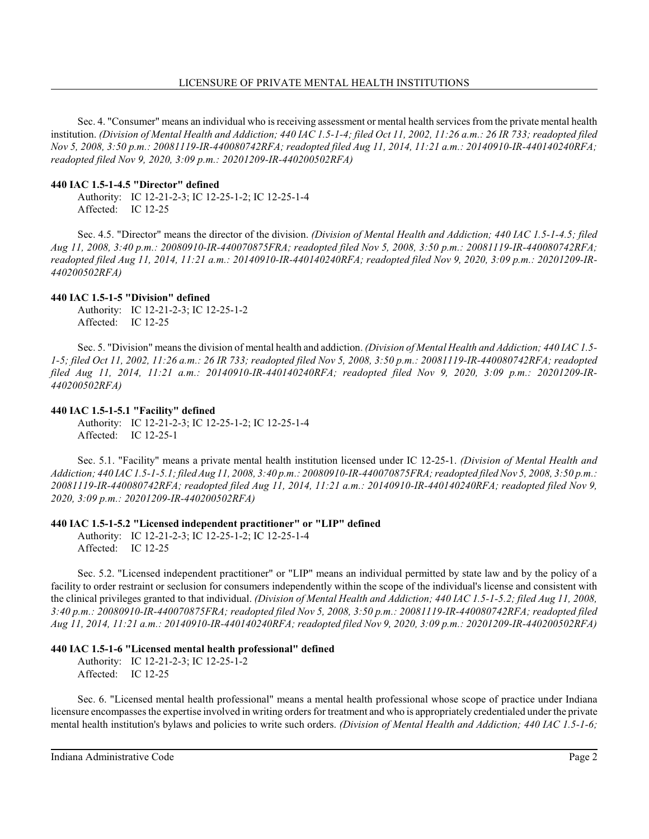Sec. 4. "Consumer" means an individual who is receiving assessment or mental health services from the private mental health institution. *(Division of Mental Health and Addiction; 440 IAC 1.5-1-4; filed Oct 11, 2002, 11:26 a.m.: 26 IR 733; readopted filed Nov 5, 2008, 3:50 p.m.: 20081119-IR-440080742RFA; readopted filed Aug 11, 2014, 11:21 a.m.: 20140910-IR-440140240RFA; readopted filed Nov 9, 2020, 3:09 p.m.: 20201209-IR-440200502RFA)*

### **440 IAC 1.5-1-4.5 "Director" defined**

Authority: IC 12-21-2-3; IC 12-25-1-2; IC 12-25-1-4 Affected: IC 12-25

Sec. 4.5. "Director" means the director of the division. *(Division of Mental Health and Addiction; 440 IAC 1.5-1-4.5; filed Aug 11, 2008, 3:40 p.m.: 20080910-IR-440070875FRA; readopted filed Nov 5, 2008, 3:50 p.m.: 20081119-IR-440080742RFA; readopted filed Aug 11, 2014, 11:21 a.m.: 20140910-IR-440140240RFA; readopted filed Nov 9, 2020, 3:09 p.m.: 20201209-IR-440200502RFA)*

## **440 IAC 1.5-1-5 "Division" defined**

Authority: IC 12-21-2-3; IC 12-25-1-2 Affected: IC 12-25

Sec. 5. "Division" means the division of mental health and addiction. *(Division of Mental Health and Addiction; 440 IAC 1.5- 1-5; filed Oct 11, 2002, 11:26 a.m.: 26 IR 733; readopted filed Nov 5, 2008, 3:50 p.m.: 20081119-IR-440080742RFA; readopted filed Aug 11, 2014, 11:21 a.m.: 20140910-IR-440140240RFA; readopted filed Nov 9, 2020, 3:09 p.m.: 20201209-IR-440200502RFA)*

### **440 IAC 1.5-1-5.1 "Facility" defined**

Authority: IC 12-21-2-3; IC 12-25-1-2; IC 12-25-1-4 Affected: IC 12-25-1

Sec. 5.1. "Facility" means a private mental health institution licensed under IC 12-25-1. *(Division of Mental Health and Addiction; 440 IAC1.5-1-5.1;filed Aug 11, 2008, 3:40 p.m.: 20080910-IR-440070875FRA; readopted filed Nov 5, 2008, 3:50 p.m.: 20081119-IR-440080742RFA; readopted filed Aug 11, 2014, 11:21 a.m.: 20140910-IR-440140240RFA; readopted filed Nov 9, 2020, 3:09 p.m.: 20201209-IR-440200502RFA)*

### **440 IAC 1.5-1-5.2 "Licensed independent practitioner" or "LIP" defined**

Authority: IC 12-21-2-3; IC 12-25-1-2; IC 12-25-1-4 Affected: IC 12-25

Sec. 5.2. "Licensed independent practitioner" or "LIP" means an individual permitted by state law and by the policy of a facility to order restraint or seclusion for consumers independently within the scope of the individual's license and consistent with the clinical privileges granted to that individual. *(Division of Mental Health and Addiction; 440 IAC 1.5-1-5.2; filed Aug 11, 2008, 3:40 p.m.: 20080910-IR-440070875FRA; readopted filed Nov 5, 2008, 3:50 p.m.: 20081119-IR-440080742RFA; readopted filed Aug 11, 2014, 11:21 a.m.: 20140910-IR-440140240RFA; readopted filed Nov 9, 2020, 3:09 p.m.: 20201209-IR-440200502RFA)*

### **440 IAC 1.5-1-6 "Licensed mental health professional" defined**

Authority: IC 12-21-2-3; IC 12-25-1-2 Affected: IC 12-25

Sec. 6. "Licensed mental health professional" means a mental health professional whose scope of practice under Indiana licensure encompasses the expertise involved in writing orders for treatment and who is appropriately credentialed under the private mental health institution's bylaws and policies to write such orders. *(Division of Mental Health and Addiction; 440 IAC 1.5-1-6;*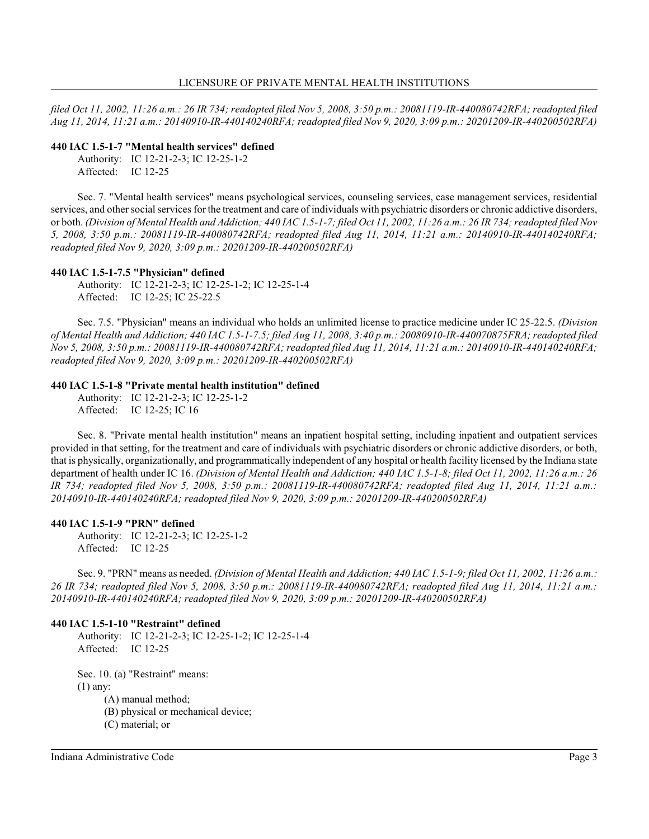*filed Oct 11, 2002, 11:26 a.m.: 26 IR 734; readopted filed Nov 5, 2008, 3:50 p.m.: 20081119-IR-440080742RFA; readopted filed Aug 11, 2014, 11:21 a.m.: 20140910-IR-440140240RFA; readopted filed Nov 9, 2020, 3:09 p.m.: 20201209-IR-440200502RFA)*

#### **440 IAC 1.5-1-7 "Mental health services" defined**

Authority: IC 12-21-2-3; IC 12-25-1-2 Affected: IC 12-25

Sec. 7. "Mental health services" means psychological services, counseling services, case management services, residential services, and other social services for the treatment and care of individuals with psychiatric disorders or chronic addictive disorders, or both. *(Division of Mental Health and Addiction; 440 IAC 1.5-1-7; filed Oct 11, 2002, 11:26 a.m.: 26 IR 734; readopted filed Nov 5, 2008, 3:50 p.m.: 20081119-IR-440080742RFA; readopted filed Aug 11, 2014, 11:21 a.m.: 20140910-IR-440140240RFA; readopted filed Nov 9, 2020, 3:09 p.m.: 20201209-IR-440200502RFA)*

### **440 IAC 1.5-1-7.5 "Physician" defined**

Authority: IC 12-21-2-3; IC 12-25-1-2; IC 12-25-1-4 Affected: IC 12-25; IC 25-22.5

Sec. 7.5. "Physician" means an individual who holds an unlimited license to practice medicine under IC 25-22.5. *(Division of Mental Health and Addiction; 440 IAC 1.5-1-7.5; filed Aug 11, 2008, 3:40 p.m.: 20080910-IR-440070875FRA; readopted filed Nov 5, 2008, 3:50 p.m.: 20081119-IR-440080742RFA; readopted filed Aug 11, 2014, 11:21 a.m.: 20140910-IR-440140240RFA; readopted filed Nov 9, 2020, 3:09 p.m.: 20201209-IR-440200502RFA)*

### **440 IAC 1.5-1-8 "Private mental health institution" defined**

Authority: IC 12-21-2-3; IC 12-25-1-2 Affected: IC 12-25; IC 16

Sec. 8. "Private mental health institution" means an inpatient hospital setting, including inpatient and outpatient services provided in that setting, for the treatment and care of individuals with psychiatric disorders or chronic addictive disorders, or both, that is physically, organizationally, and programmatically independent of any hospital or health facility licensed by the Indiana state department of health under IC 16. *(Division of Mental Health and Addiction; 440 IAC 1.5-1-8; filed Oct 11, 2002, 11:26 a.m.: 26 IR 734; readopted filed Nov 5, 2008, 3:50 p.m.: 20081119-IR-440080742RFA; readopted filed Aug 11, 2014, 11:21 a.m.: 20140910-IR-440140240RFA; readopted filed Nov 9, 2020, 3:09 p.m.: 20201209-IR-440200502RFA)*

### **440 IAC 1.5-1-9 "PRN" defined**

Authority: IC 12-21-2-3; IC 12-25-1-2 Affected: IC 12-25

Sec. 9. "PRN" means as needed. *(Division of Mental Health and Addiction; 440 IAC 1.5-1-9; filed Oct 11, 2002, 11:26 a.m.: 26 IR 734; readopted filed Nov 5, 2008, 3:50 p.m.: 20081119-IR-440080742RFA; readopted filed Aug 11, 2014, 11:21 a.m.: 20140910-IR-440140240RFA; readopted filed Nov 9, 2020, 3:09 p.m.: 20201209-IR-440200502RFA)*

### **440 IAC 1.5-1-10 "Restraint" defined**

Authority: IC 12-21-2-3; IC 12-25-1-2; IC 12-25-1-4 Affected: IC 12-25

Sec. 10. (a) "Restraint" means: (1) any:

(A) manual method;

(B) physical or mechanical device;

(C) material; or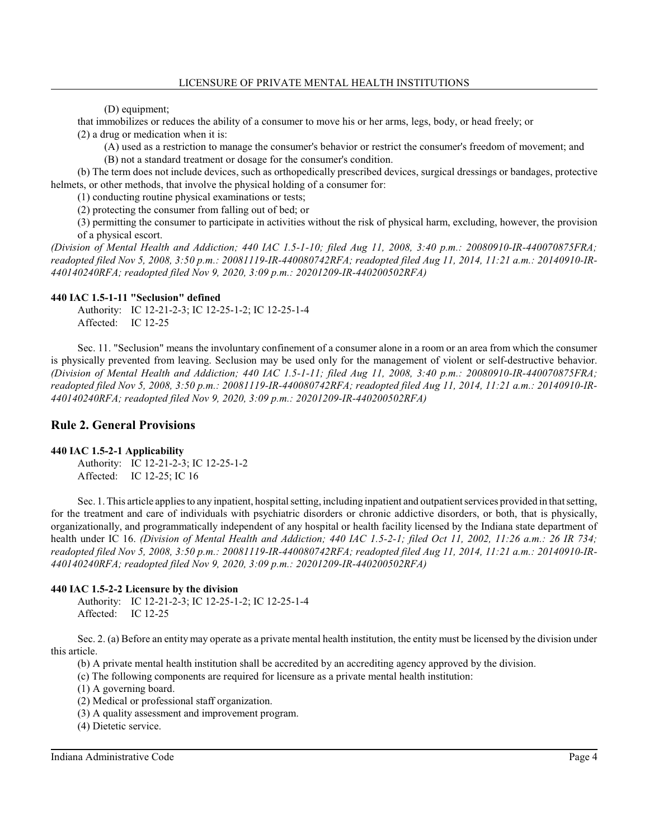(D) equipment;

that immobilizes or reduces the ability of a consumer to move his or her arms, legs, body, or head freely; or (2) a drug or medication when it is:

(A) used as a restriction to manage the consumer's behavior or restrict the consumer's freedom of movement; and (B) not a standard treatment or dosage for the consumer's condition.

(b) The term does not include devices, such as orthopedically prescribed devices, surgical dressings or bandages, protective helmets, or other methods, that involve the physical holding of a consumer for:

(1) conducting routine physical examinations or tests;

(2) protecting the consumer from falling out of bed; or

(3) permitting the consumer to participate in activities without the risk of physical harm, excluding, however, the provision of a physical escort.

*(Division of Mental Health and Addiction; 440 IAC 1.5-1-10; filed Aug 11, 2008, 3:40 p.m.: 20080910-IR-440070875FRA; readopted filed Nov 5, 2008, 3:50 p.m.: 20081119-IR-440080742RFA; readopted filed Aug 11, 2014, 11:21 a.m.: 20140910-IR-440140240RFA; readopted filed Nov 9, 2020, 3:09 p.m.: 20201209-IR-440200502RFA)*

#### **440 IAC 1.5-1-11 "Seclusion" defined**

Authority: IC 12-21-2-3; IC 12-25-1-2; IC 12-25-1-4 Affected: IC 12-25

Sec. 11. "Seclusion" means the involuntary confinement of a consumer alone in a room or an area from which the consumer is physically prevented from leaving. Seclusion may be used only for the management of violent or self-destructive behavior. *(Division of Mental Health and Addiction; 440 IAC 1.5-1-11; filed Aug 11, 2008, 3:40 p.m.: 20080910-IR-440070875FRA; readopted filed Nov 5, 2008, 3:50 p.m.: 20081119-IR-440080742RFA; readopted filed Aug 11, 2014, 11:21 a.m.: 20140910-IR-440140240RFA; readopted filed Nov 9, 2020, 3:09 p.m.: 20201209-IR-440200502RFA)*

# **Rule 2. General Provisions**

#### **440 IAC 1.5-2-1 Applicability**

Authority: IC 12-21-2-3; IC 12-25-1-2 Affected: IC 12-25; IC 16

Sec. 1. This article applies to any inpatient, hospital setting, including inpatient and outpatient services provided in that setting, for the treatment and care of individuals with psychiatric disorders or chronic addictive disorders, or both, that is physically, organizationally, and programmatically independent of any hospital or health facility licensed by the Indiana state department of health under IC 16. *(Division of Mental Health and Addiction; 440 IAC 1.5-2-1; filed Oct 11, 2002, 11:26 a.m.: 26 IR 734; readopted filed Nov 5, 2008, 3:50 p.m.: 20081119-IR-440080742RFA; readopted filed Aug 11, 2014, 11:21 a.m.: 20140910-IR-440140240RFA; readopted filed Nov 9, 2020, 3:09 p.m.: 20201209-IR-440200502RFA)*

### **440 IAC 1.5-2-2 Licensure by the division**

Authority: IC 12-21-2-3; IC 12-25-1-2; IC 12-25-1-4 Affected: IC 12-25

Sec. 2. (a) Before an entity may operate as a private mental health institution, the entity must be licensed by the division under this article.

(b) A private mental health institution shall be accredited by an accrediting agency approved by the division.

(c) The following components are required for licensure as a private mental health institution:

(1) A governing board.

(2) Medical or professional staff organization.

(3) A quality assessment and improvement program.

(4) Dietetic service.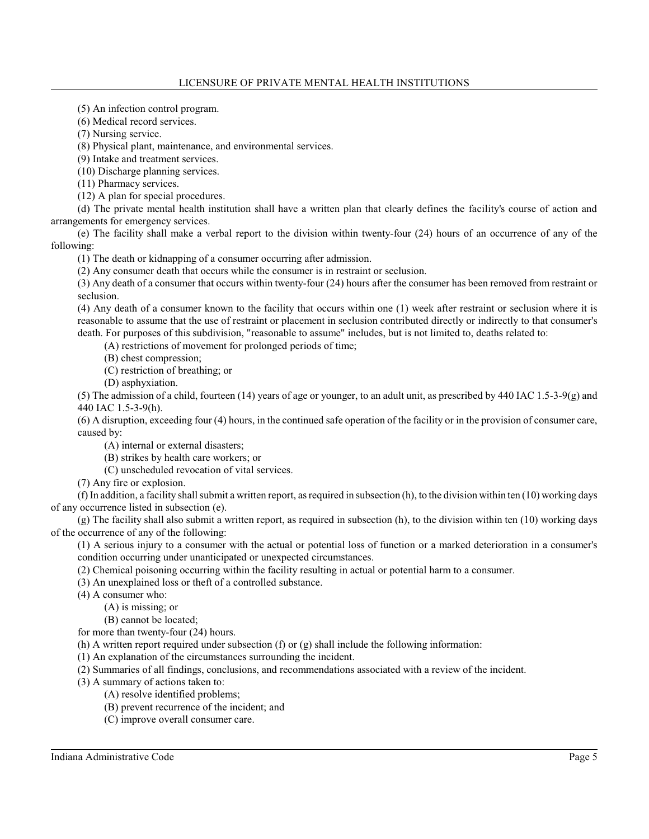(5) An infection control program.

(6) Medical record services.

(7) Nursing service.

(8) Physical plant, maintenance, and environmental services.

(9) Intake and treatment services.

(10) Discharge planning services.

(11) Pharmacy services.

(12) A plan for special procedures.

(d) The private mental health institution shall have a written plan that clearly defines the facility's course of action and arrangements for emergency services.

(e) The facility shall make a verbal report to the division within twenty-four (24) hours of an occurrence of any of the following:

(1) The death or kidnapping of a consumer occurring after admission.

(2) Any consumer death that occurs while the consumer is in restraint or seclusion.

(3) Any death of a consumer that occurs within twenty-four (24) hours after the consumer has been removed from restraint or seclusion.

(4) Any death of a consumer known to the facility that occurs within one (1) week after restraint or seclusion where it is reasonable to assume that the use of restraint or placement in seclusion contributed directly or indirectly to that consumer's death. For purposes of this subdivision, "reasonable to assume" includes, but is not limited to, deaths related to:

(A) restrictions of movement for prolonged periods of time;

(B) chest compression;

(C) restriction of breathing; or

(D) asphyxiation.

(5) The admission of a child, fourteen (14) years of age or younger, to an adult unit, as prescribed by 440 IAC 1.5-3-9(g) and 440 IAC 1.5-3-9(h).

(6) A disruption, exceeding four (4) hours, in the continued safe operation of the facility or in the provision of consumer care, caused by:

(A) internal or external disasters;

(B) strikes by health care workers; or

(C) unscheduled revocation of vital services.

(7) Any fire or explosion.

(f) In addition, a facility shall submit a written report, as required in subsection (h), to the division within ten (10) working days of any occurrence listed in subsection (e).

(g) The facility shall also submit a written report, as required in subsection (h), to the division within ten (10) working days of the occurrence of any of the following:

(1) A serious injury to a consumer with the actual or potential loss of function or a marked deterioration in a consumer's condition occurring under unanticipated or unexpected circumstances.

(2) Chemical poisoning occurring within the facility resulting in actual or potential harm to a consumer.

(3) An unexplained loss or theft of a controlled substance.

(4) A consumer who:

(A) is missing; or

(B) cannot be located;

for more than twenty-four (24) hours.

(h) A written report required under subsection (f) or  $(g)$  shall include the following information:

(1) An explanation of the circumstances surrounding the incident.

(2) Summaries of all findings, conclusions, and recommendations associated with a review of the incident.

(3) A summary of actions taken to:

(A) resolve identified problems;

(B) prevent recurrence of the incident; and

(C) improve overall consumer care.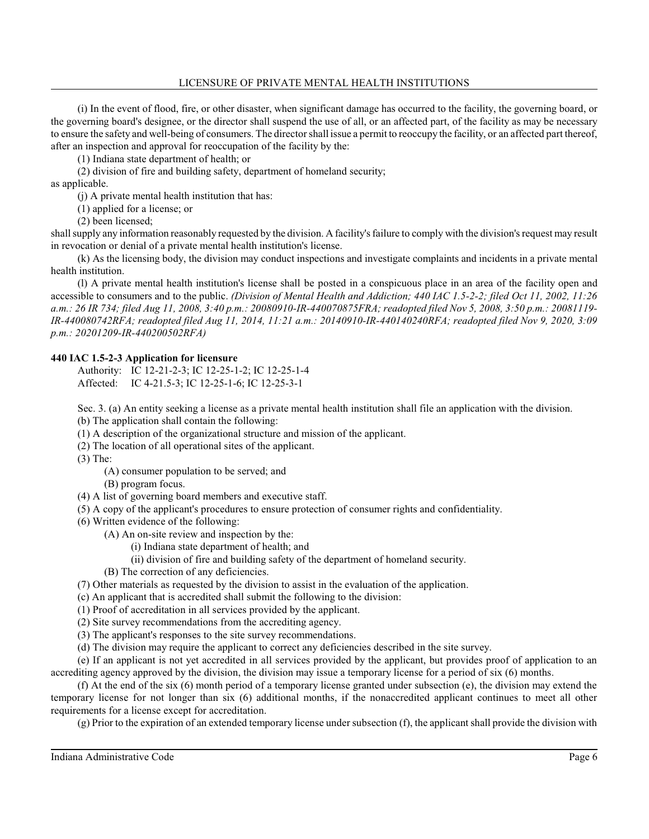## LICENSURE OF PRIVATE MENTAL HEALTH INSTITUTIONS

(i) In the event of flood, fire, or other disaster, when significant damage has occurred to the facility, the governing board, or the governing board's designee, or the director shall suspend the use of all, or an affected part, of the facility as may be necessary to ensure the safety and well-being of consumers. The directorshall issue a permit to reoccupy the facility, or an affected part thereof, after an inspection and approval for reoccupation of the facility by the:

(1) Indiana state department of health; or

(2) division of fire and building safety, department of homeland security;

as applicable.

(j) A private mental health institution that has:

(1) applied for a license; or

(2) been licensed;

shall supply any information reasonably requested by the division. A facility's failure to comply with the division's request may result in revocation or denial of a private mental health institution's license.

(k) As the licensing body, the division may conduct inspections and investigate complaints and incidents in a private mental health institution.

(l) A private mental health institution's license shall be posted in a conspicuous place in an area of the facility open and accessible to consumers and to the public. *(Division of Mental Health and Addiction; 440 IAC 1.5-2-2; filed Oct 11, 2002, 11:26 a.m.: 26 IR 734; filed Aug 11, 2008, 3:40 p.m.: 20080910-IR-440070875FRA; readopted filed Nov 5, 2008, 3:50 p.m.: 20081119- IR-440080742RFA; readopted filed Aug 11, 2014, 11:21 a.m.: 20140910-IR-440140240RFA; readopted filed Nov 9, 2020, 3:09 p.m.: 20201209-IR-440200502RFA)*

# **440 IAC 1.5-2-3 Application for licensure**

Authority: IC 12-21-2-3; IC 12-25-1-2; IC 12-25-1-4 Affected: IC 4-21.5-3; IC 12-25-1-6; IC 12-25-3-1

Sec. 3. (a) An entity seeking a license as a private mental health institution shall file an application with the division.

(b) The application shall contain the following:

(1) A description of the organizational structure and mission of the applicant.

(2) The location of all operational sites of the applicant.

(3) The:

(A) consumer population to be served; and

(B) program focus.

(4) A list of governing board members and executive staff.

(5) A copy of the applicant's procedures to ensure protection of consumer rights and confidentiality.

(6) Written evidence of the following:

(A) An on-site review and inspection by the:

(i) Indiana state department of health; and

(ii) division of fire and building safety of the department of homeland security.

(B) The correction of any deficiencies.

(7) Other materials as requested by the division to assist in the evaluation of the application.

(c) An applicant that is accredited shall submit the following to the division:

(1) Proof of accreditation in all services provided by the applicant.

(2) Site survey recommendations from the accrediting agency.

(3) The applicant's responses to the site survey recommendations.

(d) The division may require the applicant to correct any deficiencies described in the site survey.

(e) If an applicant is not yet accredited in all services provided by the applicant, but provides proof of application to an accrediting agency approved by the division, the division may issue a temporary license for a period of six (6) months.

(f) At the end of the six (6) month period of a temporary license granted under subsection (e), the division may extend the temporary license for not longer than six (6) additional months, if the nonaccredited applicant continues to meet all other requirements for a license except for accreditation.

(g) Prior to the expiration of an extended temporary license under subsection (f), the applicant shall provide the division with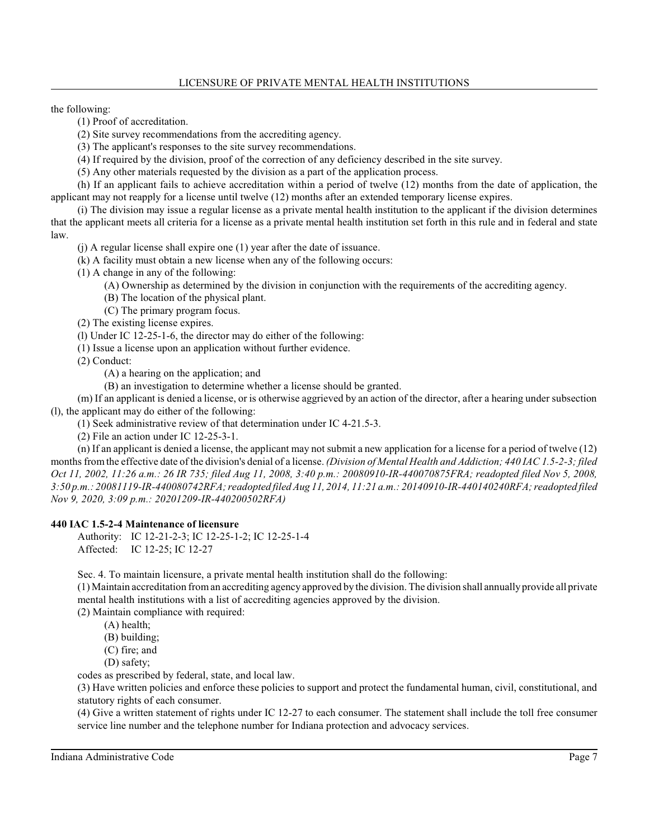the following:

- (1) Proof of accreditation.
- (2) Site survey recommendations from the accrediting agency.
- (3) The applicant's responses to the site survey recommendations.
- (4) If required by the division, proof of the correction of any deficiency described in the site survey.
- (5) Any other materials requested by the division as a part of the application process.

(h) If an applicant fails to achieve accreditation within a period of twelve (12) months from the date of application, the applicant may not reapply for a license until twelve (12) months after an extended temporary license expires.

(i) The division may issue a regular license as a private mental health institution to the applicant if the division determines that the applicant meets all criteria for a license as a private mental health institution set forth in this rule and in federal and state law.

(j) A regular license shall expire one (1) year after the date of issuance.

(k) A facility must obtain a new license when any of the following occurs:

(1) A change in any of the following:

- (A) Ownership as determined by the division in conjunction with the requirements of the accrediting agency.
- (B) The location of the physical plant.
- (C) The primary program focus.
- (2) The existing license expires.

(l) Under IC 12-25-1-6, the director may do either of the following:

(1) Issue a license upon an application without further evidence.

(2) Conduct:

(A) a hearing on the application; and

(B) an investigation to determine whether a license should be granted.

(m) If an applicant is denied a license, or is otherwise aggrieved by an action of the director, after a hearing under subsection (l), the applicant may do either of the following:

(1) Seek administrative review of that determination under IC 4-21.5-3.

(2) File an action under IC 12-25-3-1.

(n) If an applicant is denied a license, the applicant may not submit a new application for a license for a period of twelve (12) monthsfrom the effective date of the division's denial of a license. *(Division of Mental Health and Addiction; 440 IAC 1.5-2-3; filed Oct 11, 2002, 11:26 a.m.: 26 IR 735; filed Aug 11, 2008, 3:40 p.m.: 20080910-IR-440070875FRA; readopted filed Nov 5, 2008, 3:50 p.m.: 20081119-IR-440080742RFA; readopted filed Aug 11, 2014, 11:21 a.m.: 20140910-IR-440140240RFA; readopted filed Nov 9, 2020, 3:09 p.m.: 20201209-IR-440200502RFA)*

## **440 IAC 1.5-2-4 Maintenance of licensure**

Authority: IC 12-21-2-3; IC 12-25-1-2; IC 12-25-1-4 Affected: IC 12-25; IC 12-27

Sec. 4. To maintain licensure, a private mental health institution shall do the following:

(1) Maintain accreditation froman accrediting agency approved by the division. The division shall annually provide all private mental health institutions with a list of accrediting agencies approved by the division.

(2) Maintain compliance with required:

(A) health;

(B) building;

- (C) fire; and
- (D) safety;

codes as prescribed by federal, state, and local law.

(3) Have written policies and enforce these policies to support and protect the fundamental human, civil, constitutional, and statutory rights of each consumer.

(4) Give a written statement of rights under IC 12-27 to each consumer. The statement shall include the toll free consumer service line number and the telephone number for Indiana protection and advocacy services.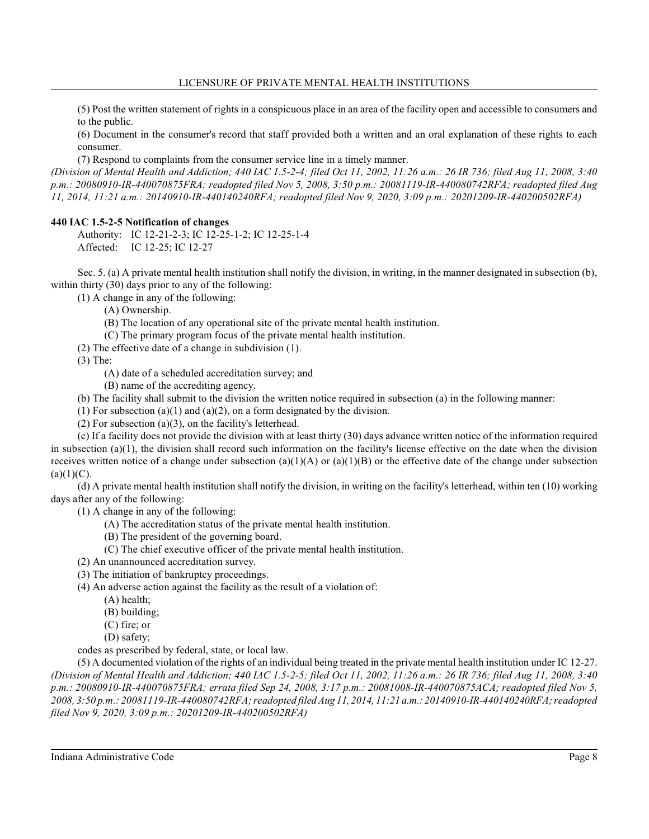(5) Post the written statement of rights in a conspicuous place in an area of the facility open and accessible to consumers and to the public.

(6) Document in the consumer's record that staff provided both a written and an oral explanation of these rights to each consumer.

(7) Respond to complaints from the consumer service line in a timely manner.

*(Division of Mental Health and Addiction; 440 IAC 1.5-2-4; filed Oct 11, 2002, 11:26 a.m.: 26 IR 736; filed Aug 11, 2008, 3:40 p.m.: 20080910-IR-440070875FRA; readopted filed Nov 5, 2008, 3:50 p.m.: 20081119-IR-440080742RFA; readopted filed Aug 11, 2014, 11:21 a.m.: 20140910-IR-440140240RFA; readopted filed Nov 9, 2020, 3:09 p.m.: 20201209-IR-440200502RFA)*

# **440 IAC 1.5-2-5 Notification of changes**

Authority: IC 12-21-2-3; IC 12-25-1-2; IC 12-25-1-4 Affected: IC 12-25; IC 12-27

Sec. 5. (a) A private mental health institution shall notify the division, in writing, in the manner designated in subsection (b), within thirty (30) days prior to any of the following:

(1) A change in any of the following:

(A) Ownership.

- (B) The location of any operational site of the private mental health institution.
- (C) The primary program focus of the private mental health institution.
- (2) The effective date of a change in subdivision (1).

(3) The:

(A) date of a scheduled accreditation survey; and

(B) name of the accrediting agency.

(b) The facility shall submit to the division the written notice required in subsection (a) in the following manner:

(1) For subsection (a)(1) and (a)(2), on a form designated by the division.

(2) For subsection (a)(3), on the facility's letterhead.

(c) If a facility does not provide the division with at least thirty (30) days advance written notice of the information required in subsection  $(a)(1)$ , the division shall record such information on the facility's license effective on the date when the division receives written notice of a change under subsection (a)(1)(A) or (a)(1)(B) or the effective date of the change under subsection  $(a)(1)(C)$ .

(d) A private mental health institution shall notify the division, in writing on the facility's letterhead, within ten (10) working days after any of the following:

(1) A change in any of the following:

- (A) The accreditation status of the private mental health institution.
- (B) The president of the governing board.
- (C) The chief executive officer of the private mental health institution.
- (2) An unannounced accreditation survey.
- (3) The initiation of bankruptcy proceedings.
- (4) An adverse action against the facility as the result of a violation of:
	- (A) health;
	- (B) building;
	- (C) fire; or
	- (D) safety;

codes as prescribed by federal, state, or local law.

(5) A documented violation of the rights of an individual being treated in the private mental health institution under IC 12-27. *(Division of Mental Health and Addiction; 440 IAC 1.5-2-5; filed Oct 11, 2002, 11:26 a.m.: 26 IR 736; filed Aug 11, 2008, 3:40 p.m.: 20080910-IR-440070875FRA; errata filed Sep 24, 2008, 3:17 p.m.: 20081008-IR-440070875ACA; readopted filed Nov 5, 2008, 3:50 p.m.: 20081119-IR-440080742RFA; readopted filed Aug 11, 2014, 11:21 a.m.:20140910-IR-440140240RFA; readopted filed Nov 9, 2020, 3:09 p.m.: 20201209-IR-440200502RFA)*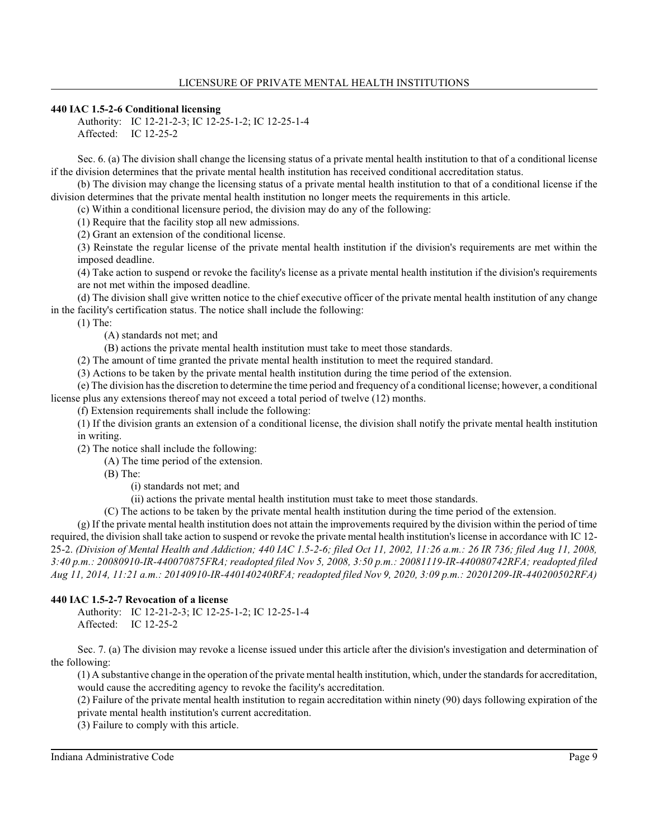## **440 IAC 1.5-2-6 Conditional licensing**

Authority: IC 12-21-2-3; IC 12-25-1-2; IC 12-25-1-4 Affected: IC 12-25-2

Sec. 6. (a) The division shall change the licensing status of a private mental health institution to that of a conditional license if the division determines that the private mental health institution has received conditional accreditation status.

(b) The division may change the licensing status of a private mental health institution to that of a conditional license if the division determines that the private mental health institution no longer meets the requirements in this article.

(c) Within a conditional licensure period, the division may do any of the following:

(1) Require that the facility stop all new admissions.

(2) Grant an extension of the conditional license.

(3) Reinstate the regular license of the private mental health institution if the division's requirements are met within the imposed deadline.

(4) Take action to suspend or revoke the facility's license as a private mental health institution if the division's requirements are not met within the imposed deadline.

(d) The division shall give written notice to the chief executive officer of the private mental health institution of any change in the facility's certification status. The notice shall include the following:

(1) The:

(A) standards not met; and

(B) actions the private mental health institution must take to meet those standards.

(2) The amount of time granted the private mental health institution to meet the required standard.

(3) Actions to be taken by the private mental health institution during the time period of the extension.

(e) The division hasthe discretion to determine the time period and frequency of a conditional license; however, a conditional license plus any extensions thereof may not exceed a total period of twelve (12) months.

(f) Extension requirements shall include the following:

(1) If the division grants an extension of a conditional license, the division shall notify the private mental health institution in writing.

(2) The notice shall include the following:

(A) The time period of the extension.

(B) The:

(i) standards not met; and

(ii) actions the private mental health institution must take to meet those standards.

(C) The actions to be taken by the private mental health institution during the time period of the extension.

(g) If the private mental health institution does not attain the improvements required by the division within the period of time required, the division shall take action to suspend or revoke the private mental health institution's license in accordance with IC 12- 25-2. *(Division of Mental Health and Addiction; 440 IAC 1.5-2-6; filed Oct 11, 2002, 11:26 a.m.: 26 IR 736; filed Aug 11, 2008, 3:40 p.m.: 20080910-IR-440070875FRA; readopted filed Nov 5, 2008, 3:50 p.m.: 20081119-IR-440080742RFA; readopted filed Aug 11, 2014, 11:21 a.m.: 20140910-IR-440140240RFA; readopted filed Nov 9, 2020, 3:09 p.m.: 20201209-IR-440200502RFA)*

# **440 IAC 1.5-2-7 Revocation of a license**

Authority: IC 12-21-2-3; IC 12-25-1-2; IC 12-25-1-4 Affected: IC 12-25-2

Sec. 7. (a) The division may revoke a license issued under this article after the division's investigation and determination of the following:

(1) A substantive change in the operation of the private mental health institution, which, under the standardsfor accreditation, would cause the accrediting agency to revoke the facility's accreditation.

(2) Failure of the private mental health institution to regain accreditation within ninety (90) days following expiration of the private mental health institution's current accreditation.

(3) Failure to comply with this article.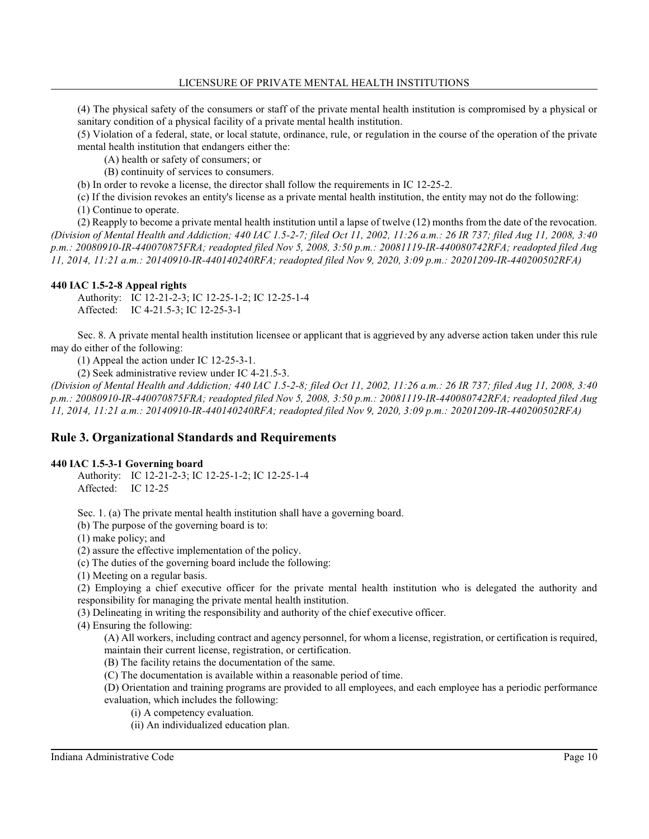(4) The physical safety of the consumers or staff of the private mental health institution is compromised by a physical or sanitary condition of a physical facility of a private mental health institution.

(5) Violation of a federal, state, or local statute, ordinance, rule, or regulation in the course of the operation of the private mental health institution that endangers either the:

(A) health or safety of consumers; or

(B) continuity of services to consumers.

(b) In order to revoke a license, the director shall follow the requirements in IC 12-25-2.

(c) If the division revokes an entity's license as a private mental health institution, the entity may not do the following:

(1) Continue to operate.

(2) Reapply to become a private mental health institution until a lapse of twelve (12) months from the date of the revocation. *(Division of Mental Health and Addiction; 440 IAC 1.5-2-7; filed Oct 11, 2002, 11:26 a.m.: 26 IR 737; filed Aug 11, 2008, 3:40 p.m.: 20080910-IR-440070875FRA; readopted filed Nov 5, 2008, 3:50 p.m.: 20081119-IR-440080742RFA; readopted filed Aug 11, 2014, 11:21 a.m.: 20140910-IR-440140240RFA; readopted filed Nov 9, 2020, 3:09 p.m.: 20201209-IR-440200502RFA)*

# **440 IAC 1.5-2-8 Appeal rights**

Authority: IC 12-21-2-3; IC 12-25-1-2; IC 12-25-1-4 Affected: IC 4-21.5-3; IC 12-25-3-1

Sec. 8. A private mental health institution licensee or applicant that is aggrieved by any adverse action taken under this rule may do either of the following:

(1) Appeal the action under IC 12-25-3-1.

(2) Seek administrative review under IC 4-21.5-3.

*(Division of Mental Health and Addiction; 440 IAC 1.5-2-8; filed Oct 11, 2002, 11:26 a.m.: 26 IR 737; filed Aug 11, 2008, 3:40 p.m.: 20080910-IR-440070875FRA; readopted filed Nov 5, 2008, 3:50 p.m.: 20081119-IR-440080742RFA; readopted filed Aug 11, 2014, 11:21 a.m.: 20140910-IR-440140240RFA; readopted filed Nov 9, 2020, 3:09 p.m.: 20201209-IR-440200502RFA)*

# **Rule 3. Organizational Standards and Requirements**

# **440 IAC 1.5-3-1 Governing board**

Authority: IC 12-21-2-3; IC 12-25-1-2; IC 12-25-1-4 Affected: IC 12-25

Sec. 1. (a) The private mental health institution shall have a governing board.

(b) The purpose of the governing board is to:

(1) make policy; and

(2) assure the effective implementation of the policy.

(c) The duties of the governing board include the following:

(1) Meeting on a regular basis.

(2) Employing a chief executive officer for the private mental health institution who is delegated the authority and responsibility for managing the private mental health institution.

(3) Delineating in writing the responsibility and authority of the chief executive officer.

(4) Ensuring the following:

(A) All workers, including contract and agency personnel, for whom a license, registration, or certification is required, maintain their current license, registration, or certification.

(B) The facility retains the documentation of the same.

(C) The documentation is available within a reasonable period of time.

(D) Orientation and training programs are provided to all employees, and each employee has a periodic performance evaluation, which includes the following:

(i) A competency evaluation.

(ii) An individualized education plan.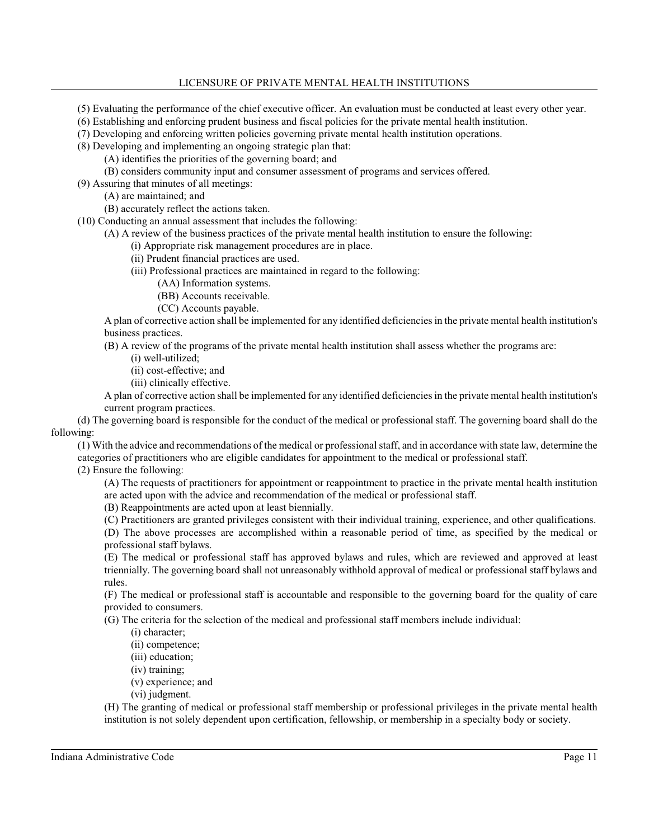- (5) Evaluating the performance of the chief executive officer. An evaluation must be conducted at least every other year.
- (6) Establishing and enforcing prudent business and fiscal policies for the private mental health institution.
- (7) Developing and enforcing written policies governing private mental health institution operations.
- (8) Developing and implementing an ongoing strategic plan that:
	- (A) identifies the priorities of the governing board; and
	- (B) considers community input and consumer assessment of programs and services offered.
- (9) Assuring that minutes of all meetings:
	- (A) are maintained; and
	- (B) accurately reflect the actions taken.
- (10) Conducting an annual assessment that includes the following:
	- (A) A review of the business practices of the private mental health institution to ensure the following:
		- (i) Appropriate risk management procedures are in place.
		- (ii) Prudent financial practices are used.
		- (iii) Professional practices are maintained in regard to the following:
			- (AA) Information systems.
			- (BB) Accounts receivable.
			- (CC) Accounts payable.

A plan of corrective action shall be implemented for any identified deficiencies in the private mental health institution's business practices.

- (B) A review of the programs of the private mental health institution shall assess whether the programs are:
	- (i) well-utilized;
	- (ii) cost-effective; and
	- (iii) clinically effective.

A plan of corrective action shall be implemented for any identified deficiencies in the private mental health institution's current program practices.

(d) The governing board is responsible for the conduct of the medical or professional staff. The governing board shall do the following:

(1) With the advice and recommendations of the medical or professional staff, and in accordance with state law, determine the categories of practitioners who are eligible candidates for appointment to the medical or professional staff. (2) Ensure the following:

(A) The requests of practitioners for appointment or reappointment to practice in the private mental health institution are acted upon with the advice and recommendation of the medical or professional staff.

- (B) Reappointments are acted upon at least biennially.
- (C) Practitioners are granted privileges consistent with their individual training, experience, and other qualifications.

(D) The above processes are accomplished within a reasonable period of time, as specified by the medical or professional staff bylaws.

(E) The medical or professional staff has approved bylaws and rules, which are reviewed and approved at least triennially. The governing board shall not unreasonably withhold approval of medical or professional staff bylaws and rules.

(F) The medical or professional staff is accountable and responsible to the governing board for the quality of care provided to consumers.

(G) The criteria for the selection of the medical and professional staff members include individual:

(i) character;

- (ii) competence;
- (iii) education;
- (iv) training;
- (v) experience; and
- (vi) judgment.

(H) The granting of medical or professional staff membership or professional privileges in the private mental health institution is not solely dependent upon certification, fellowship, or membership in a specialty body or society.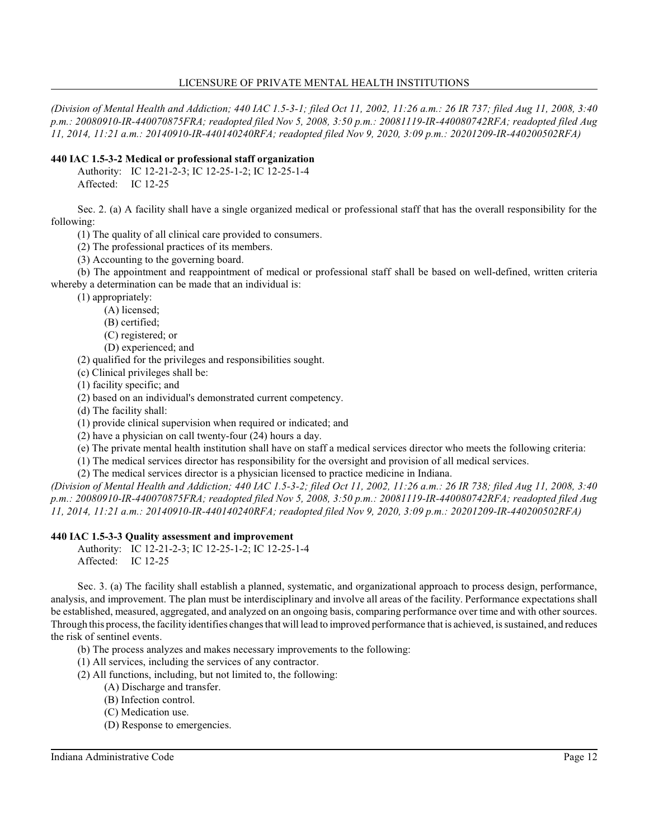*(Division of Mental Health and Addiction; 440 IAC 1.5-3-1; filed Oct 11, 2002, 11:26 a.m.: 26 IR 737; filed Aug 11, 2008, 3:40 p.m.: 20080910-IR-440070875FRA; readopted filed Nov 5, 2008, 3:50 p.m.: 20081119-IR-440080742RFA; readopted filed Aug 11, 2014, 11:21 a.m.: 20140910-IR-440140240RFA; readopted filed Nov 9, 2020, 3:09 p.m.: 20201209-IR-440200502RFA)*

# **440 IAC 1.5-3-2 Medical or professional staff organization**

Authority: IC 12-21-2-3; IC 12-25-1-2; IC 12-25-1-4

Affected: IC 12-25

Sec. 2. (a) A facility shall have a single organized medical or professional staff that has the overall responsibility for the following:

(1) The quality of all clinical care provided to consumers.

(2) The professional practices of its members.

(3) Accounting to the governing board.

(b) The appointment and reappointment of medical or professional staff shall be based on well-defined, written criteria whereby a determination can be made that an individual is:

(1) appropriately:

(A) licensed;

(B) certified;

(C) registered; or

(D) experienced; and

(2) qualified for the privileges and responsibilities sought.

(c) Clinical privileges shall be:

(1) facility specific; and

(2) based on an individual's demonstrated current competency.

(d) The facility shall:

(1) provide clinical supervision when required or indicated; and

(2) have a physician on call twenty-four (24) hours a day.

(e) The private mental health institution shall have on staff a medical services director who meets the following criteria:

(1) The medical services director has responsibility for the oversight and provision of all medical services.

(2) The medical services director is a physician licensed to practice medicine in Indiana.

*(Division of Mental Health and Addiction; 440 IAC 1.5-3-2; filed Oct 11, 2002, 11:26 a.m.: 26 IR 738; filed Aug 11, 2008, 3:40 p.m.: 20080910-IR-440070875FRA; readopted filed Nov 5, 2008, 3:50 p.m.: 20081119-IR-440080742RFA; readopted filed Aug 11, 2014, 11:21 a.m.: 20140910-IR-440140240RFA; readopted filed Nov 9, 2020, 3:09 p.m.: 20201209-IR-440200502RFA)*

# **440 IAC 1.5-3-3 Quality assessment and improvement**

Authority: IC 12-21-2-3; IC 12-25-1-2; IC 12-25-1-4 Affected: IC 12-25

Sec. 3. (a) The facility shall establish a planned, systematic, and organizational approach to process design, performance, analysis, and improvement. The plan must be interdisciplinary and involve all areas of the facility. Performance expectations shall be established, measured, aggregated, and analyzed on an ongoing basis, comparing performance over time and with other sources. Through this process, the facility identifies changes that will lead to improved performance that is achieved, is sustained, and reduces the risk of sentinel events.

(b) The process analyzes and makes necessary improvements to the following:

(1) All services, including the services of any contractor.

- (2) All functions, including, but not limited to, the following:
	- (A) Discharge and transfer.
	- (B) Infection control.
	- (C) Medication use.
	- (D) Response to emergencies.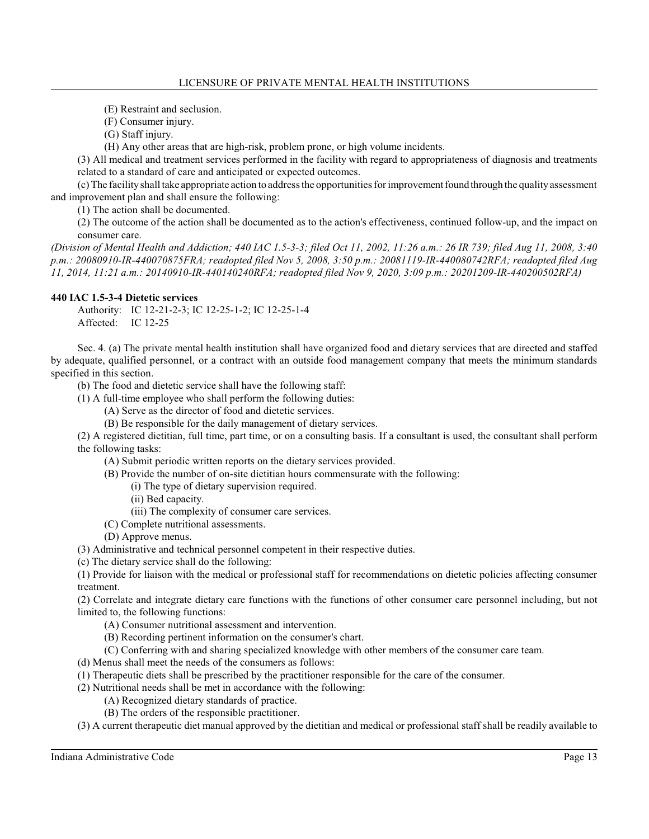(E) Restraint and seclusion.

(F) Consumer injury.

(G) Staff injury.

(H) Any other areas that are high-risk, problem prone, or high volume incidents.

(3) All medical and treatment services performed in the facility with regard to appropriateness of diagnosis and treatments related to a standard of care and anticipated or expected outcomes.

(c) The facility shall take appropriate action to address the opportunities forimprovementfound through the quality assessment and improvement plan and shall ensure the following:

(1) The action shall be documented.

(2) The outcome of the action shall be documented as to the action's effectiveness, continued follow-up, and the impact on consumer care.

*(Division of Mental Health and Addiction; 440 IAC 1.5-3-3; filed Oct 11, 2002, 11:26 a.m.: 26 IR 739; filed Aug 11, 2008, 3:40 p.m.: 20080910-IR-440070875FRA; readopted filed Nov 5, 2008, 3:50 p.m.: 20081119-IR-440080742RFA; readopted filed Aug 11, 2014, 11:21 a.m.: 20140910-IR-440140240RFA; readopted filed Nov 9, 2020, 3:09 p.m.: 20201209-IR-440200502RFA)*

# **440 IAC 1.5-3-4 Dietetic services**

Authority: IC 12-21-2-3; IC 12-25-1-2; IC 12-25-1-4 Affected: IC 12-25

Sec. 4. (a) The private mental health institution shall have organized food and dietary services that are directed and staffed by adequate, qualified personnel, or a contract with an outside food management company that meets the minimum standards specified in this section.

(b) The food and dietetic service shall have the following staff:

(1) A full-time employee who shall perform the following duties:

(A) Serve as the director of food and dietetic services.

(B) Be responsible for the daily management of dietary services.

(2) A registered dietitian, full time, part time, or on a consulting basis. If a consultant is used, the consultant shall perform the following tasks:

(A) Submit periodic written reports on the dietary services provided.

(B) Provide the number of on-site dietitian hours commensurate with the following:

- (i) The type of dietary supervision required.
- (ii) Bed capacity.
- (iii) The complexity of consumer care services.
- (C) Complete nutritional assessments.
- (D) Approve menus.

(3) Administrative and technical personnel competent in their respective duties.

(c) The dietary service shall do the following:

(1) Provide for liaison with the medical or professional staff for recommendations on dietetic policies affecting consumer treatment.

(2) Correlate and integrate dietary care functions with the functions of other consumer care personnel including, but not limited to, the following functions:

- (A) Consumer nutritional assessment and intervention.
- (B) Recording pertinent information on the consumer's chart.
- (C) Conferring with and sharing specialized knowledge with other members of the consumer care team.
- (d) Menus shall meet the needs of the consumers as follows:
- (1) Therapeutic diets shall be prescribed by the practitioner responsible for the care of the consumer.
- (2) Nutritional needs shall be met in accordance with the following:
	- (A) Recognized dietary standards of practice.
	- (B) The orders of the responsible practitioner.

(3) A current therapeutic diet manual approved by the dietitian and medical or professional staff shall be readily available to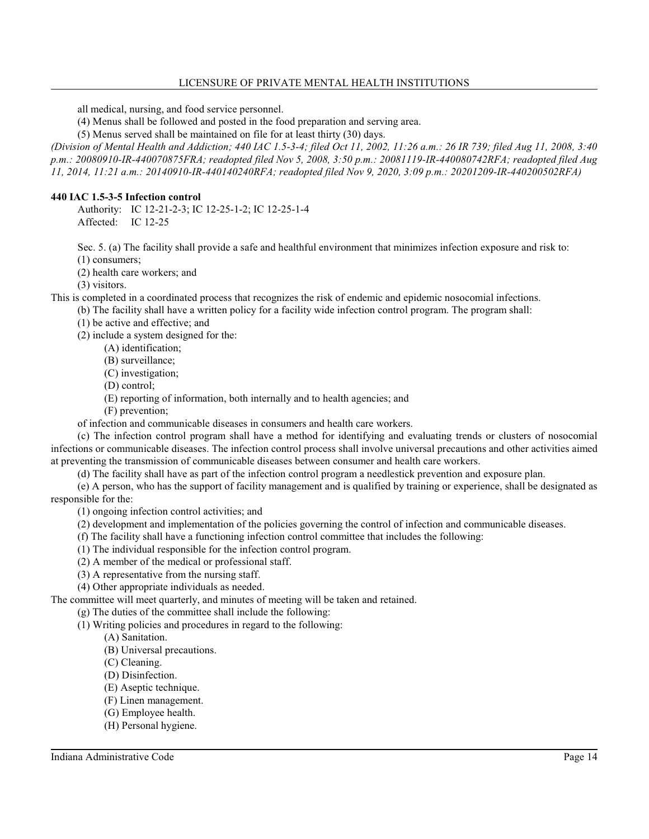all medical, nursing, and food service personnel.

(4) Menus shall be followed and posted in the food preparation and serving area.

(5) Menus served shall be maintained on file for at least thirty (30) days.

*(Division of Mental Health and Addiction; 440 IAC 1.5-3-4; filed Oct 11, 2002, 11:26 a.m.: 26 IR 739; filed Aug 11, 2008, 3:40 p.m.: 20080910-IR-440070875FRA; readopted filed Nov 5, 2008, 3:50 p.m.: 20081119-IR-440080742RFA; readopted filed Aug 11, 2014, 11:21 a.m.: 20140910-IR-440140240RFA; readopted filed Nov 9, 2020, 3:09 p.m.: 20201209-IR-440200502RFA)*

## **440 IAC 1.5-3-5 Infection control**

Authority: IC 12-21-2-3; IC 12-25-1-2; IC 12-25-1-4 Affected: IC 12-25

Sec. 5. (a) The facility shall provide a safe and healthful environment that minimizes infection exposure and risk to: (1) consumers;

(2) health care workers; and

(3) visitors.

This is completed in a coordinated process that recognizes the risk of endemic and epidemic nosocomial infections.

(b) The facility shall have a written policy for a facility wide infection control program. The program shall:

(1) be active and effective; and

(2) include a system designed for the:

- (A) identification;
- (B) surveillance;
- (C) investigation;
- (D) control;
- (E) reporting of information, both internally and to health agencies; and
- (F) prevention;

of infection and communicable diseases in consumers and health care workers.

(c) The infection control program shall have a method for identifying and evaluating trends or clusters of nosocomial infections or communicable diseases. The infection control process shall involve universal precautions and other activities aimed at preventing the transmission of communicable diseases between consumer and health care workers.

(d) The facility shall have as part of the infection control program a needlestick prevention and exposure plan.

(e) A person, who has the support of facility management and is qualified by training or experience, shall be designated as responsible for the:

(1) ongoing infection control activities; and

(2) development and implementation of the policies governing the control of infection and communicable diseases.

- (f) The facility shall have a functioning infection control committee that includes the following:
- (1) The individual responsible for the infection control program.
- (2) A member of the medical or professional staff.
- (3) A representative from the nursing staff.

(4) Other appropriate individuals as needed.

The committee will meet quarterly, and minutes of meeting will be taken and retained.

(g) The duties of the committee shall include the following:

(1) Writing policies and procedures in regard to the following:

- (A) Sanitation.
- (B) Universal precautions.
- (C) Cleaning.
- (D) Disinfection.
- (E) Aseptic technique.
- (F) Linen management.
- (G) Employee health.
- (H) Personal hygiene.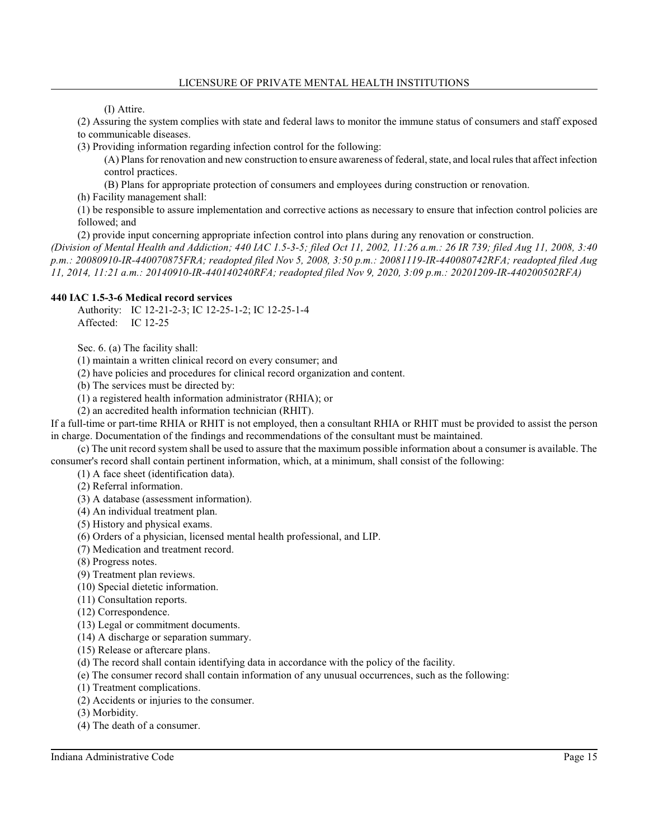(I) Attire.

(2) Assuring the system complies with state and federal laws to monitor the immune status of consumers and staff exposed to communicable diseases.

(3) Providing information regarding infection control for the following:

(A) Plans for renovation and new construction to ensure awareness of federal, state, and local rules that affect infection control practices.

(B) Plans for appropriate protection of consumers and employees during construction or renovation.

(h) Facility management shall:

(1) be responsible to assure implementation and corrective actions as necessary to ensure that infection control policies are followed; and

(2) provide input concerning appropriate infection control into plans during any renovation or construction.

*(Division of Mental Health and Addiction; 440 IAC 1.5-3-5; filed Oct 11, 2002, 11:26 a.m.: 26 IR 739; filed Aug 11, 2008, 3:40 p.m.: 20080910-IR-440070875FRA; readopted filed Nov 5, 2008, 3:50 p.m.: 20081119-IR-440080742RFA; readopted filed Aug 11, 2014, 11:21 a.m.: 20140910-IR-440140240RFA; readopted filed Nov 9, 2020, 3:09 p.m.: 20201209-IR-440200502RFA)*

## **440 IAC 1.5-3-6 Medical record services**

Authority: IC 12-21-2-3; IC 12-25-1-2; IC 12-25-1-4 Affected: IC 12-25

Sec. 6. (a) The facility shall:

(1) maintain a written clinical record on every consumer; and

(2) have policies and procedures for clinical record organization and content.

(b) The services must be directed by:

(1) a registered health information administrator (RHIA); or

(2) an accredited health information technician (RHIT).

If a full-time or part-time RHIA or RHIT is not employed, then a consultant RHIA or RHIT must be provided to assist the person in charge. Documentation of the findings and recommendations of the consultant must be maintained.

(c) The unit record system shall be used to assure that the maximum possible information about a consumer is available. The consumer's record shall contain pertinent information, which, at a minimum, shall consist of the following:

(1) A face sheet (identification data).

(2) Referral information.

(3) A database (assessment information).

(4) An individual treatment plan.

(5) History and physical exams.

(6) Orders of a physician, licensed mental health professional, and LIP.

(7) Medication and treatment record.

(8) Progress notes.

(9) Treatment plan reviews.

(10) Special dietetic information.

(11) Consultation reports.

(12) Correspondence.

(13) Legal or commitment documents.

(14) A discharge or separation summary.

(15) Release or aftercare plans.

(d) The record shall contain identifying data in accordance with the policy of the facility.

(e) The consumer record shall contain information of any unusual occurrences, such as the following:

(1) Treatment complications.

(2) Accidents or injuries to the consumer.

(3) Morbidity.

(4) The death of a consumer.

Indiana Administrative Code Page 15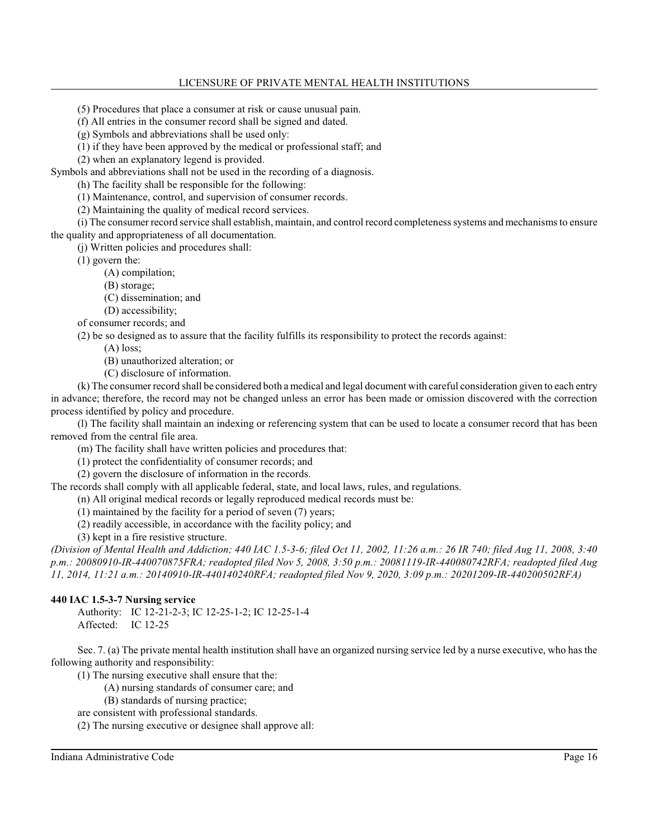## LICENSURE OF PRIVATE MENTAL HEALTH INSTITUTIONS

(5) Procedures that place a consumer at risk or cause unusual pain.

(f) All entries in the consumer record shall be signed and dated.

(g) Symbols and abbreviations shall be used only:

(1) if they have been approved by the medical or professional staff; and

(2) when an explanatory legend is provided.

Symbols and abbreviations shall not be used in the recording of a diagnosis.

(h) The facility shall be responsible for the following:

(1) Maintenance, control, and supervision of consumer records.

(2) Maintaining the quality of medical record services.

(i) The consumer record service shall establish, maintain, and control record completeness systems and mechanisms to ensure the quality and appropriateness of all documentation.

(j) Written policies and procedures shall:

(1) govern the:

(A) compilation;

(B) storage;

(C) dissemination; and

(D) accessibility;

of consumer records; and

(2) be so designed as to assure that the facility fulfills its responsibility to protect the records against:

(A) loss;

(B) unauthorized alteration; or

(C) disclosure of information.

(k) The consumer record shall be considered both a medical and legal document with careful consideration given to each entry in advance; therefore, the record may not be changed unless an error has been made or omission discovered with the correction process identified by policy and procedure.

(l) The facility shall maintain an indexing or referencing system that can be used to locate a consumer record that has been removed from the central file area.

(m) The facility shall have written policies and procedures that:

(1) protect the confidentiality of consumer records; and

(2) govern the disclosure of information in the records.

The records shall comply with all applicable federal, state, and local laws, rules, and regulations.

(n) All original medical records or legally reproduced medical records must be:

(1) maintained by the facility for a period of seven (7) years;

(2) readily accessible, in accordance with the facility policy; and

(3) kept in a fire resistive structure.

*(Division of Mental Health and Addiction; 440 IAC 1.5-3-6; filed Oct 11, 2002, 11:26 a.m.: 26 IR 740; filed Aug 11, 2008, 3:40 p.m.: 20080910-IR-440070875FRA; readopted filed Nov 5, 2008, 3:50 p.m.: 20081119-IR-440080742RFA; readopted filed Aug 11, 2014, 11:21 a.m.: 20140910-IR-440140240RFA; readopted filed Nov 9, 2020, 3:09 p.m.: 20201209-IR-440200502RFA)*

# **440 IAC 1.5-3-7 Nursing service**

Authority: IC 12-21-2-3; IC 12-25-1-2; IC 12-25-1-4 Affected: IC 12-25

Sec. 7. (a) The private mental health institution shall have an organized nursing service led by a nurse executive, who has the following authority and responsibility:

(1) The nursing executive shall ensure that the:

(A) nursing standards of consumer care; and

(B) standards of nursing practice;

are consistent with professional standards.

(2) The nursing executive or designee shall approve all:

Indiana Administrative Code Page 16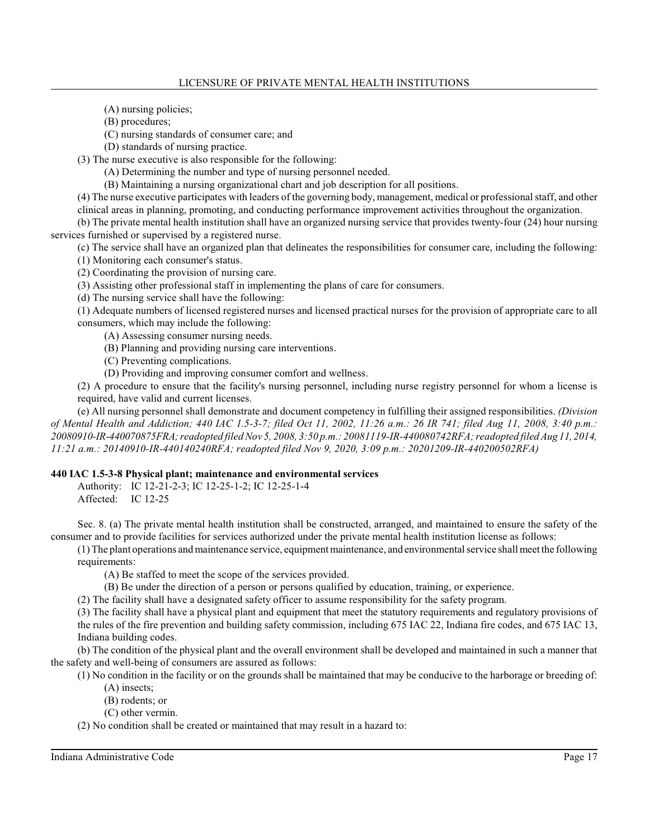(A) nursing policies;

(B) procedures;

(C) nursing standards of consumer care; and

(D) standards of nursing practice.

(3) The nurse executive is also responsible for the following:

(A) Determining the number and type of nursing personnel needed.

(B) Maintaining a nursing organizational chart and job description for all positions.

(4) The nurse executive participates with leaders of the governing body, management, medical or professional staff, and other clinical areas in planning, promoting, and conducting performance improvement activities throughout the organization.

(b) The private mental health institution shall have an organized nursing service that provides twenty-four (24) hour nursing services furnished or supervised by a registered nurse.

(c) The service shall have an organized plan that delineates the responsibilities for consumer care, including the following: (1) Monitoring each consumer's status.

(2) Coordinating the provision of nursing care.

(3) Assisting other professional staff in implementing the plans of care for consumers.

(d) The nursing service shall have the following:

(1) Adequate numbers of licensed registered nurses and licensed practical nurses for the provision of appropriate care to all consumers, which may include the following:

(A) Assessing consumer nursing needs.

(B) Planning and providing nursing care interventions.

(C) Preventing complications.

(D) Providing and improving consumer comfort and wellness.

(2) A procedure to ensure that the facility's nursing personnel, including nurse registry personnel for whom a license is required, have valid and current licenses.

(e) All nursing personnel shall demonstrate and document competency in fulfilling their assigned responsibilities. *(Division of Mental Health and Addiction; 440 IAC 1.5-3-7; filed Oct 11, 2002, 11:26 a.m.: 26 IR 741; filed Aug 11, 2008, 3:40 p.m.: 20080910-IR-440070875FRA; readopted filed Nov 5, 2008, 3:50 p.m.: 20081119-IR-440080742RFA; readopted filed Aug 11, 2014, 11:21 a.m.: 20140910-IR-440140240RFA; readopted filed Nov 9, 2020, 3:09 p.m.: 20201209-IR-440200502RFA)*

# **440 IAC 1.5-3-8 Physical plant; maintenance and environmental services**

Authority: IC 12-21-2-3; IC 12-25-1-2; IC 12-25-1-4

Affected: IC 12-25

Sec. 8. (a) The private mental health institution shall be constructed, arranged, and maintained to ensure the safety of the consumer and to provide facilities for services authorized under the private mental health institution license as follows:

(1) The plant operations andmaintenance service, equipment maintenance, and environmental service shall meet the following requirements:

(A) Be staffed to meet the scope of the services provided.

(B) Be under the direction of a person or persons qualified by education, training, or experience.

(2) The facility shall have a designated safety officer to assume responsibility for the safety program.

(3) The facility shall have a physical plant and equipment that meet the statutory requirements and regulatory provisions of the rules of the fire prevention and building safety commission, including 675 IAC 22, Indiana fire codes, and 675 IAC 13, Indiana building codes.

(b) The condition of the physical plant and the overall environment shall be developed and maintained in such a manner that the safety and well-being of consumers are assured as follows:

(1) No condition in the facility or on the grounds shall be maintained that may be conducive to the harborage or breeding of: (A) insects;

(B) rodents; or

(C) other vermin.

(2) No condition shall be created or maintained that may result in a hazard to: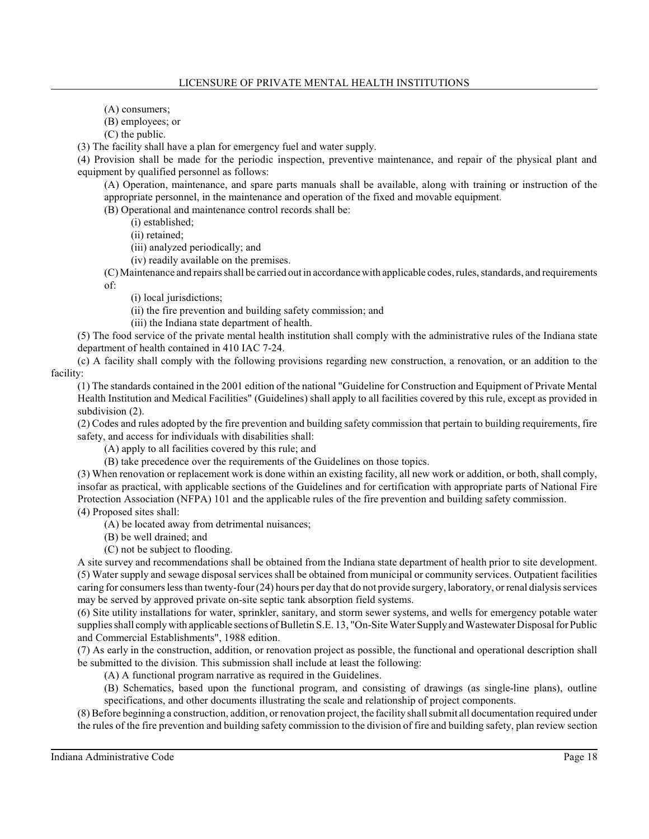(A) consumers;

(B) employees; or

(C) the public.

(3) The facility shall have a plan for emergency fuel and water supply.

(4) Provision shall be made for the periodic inspection, preventive maintenance, and repair of the physical plant and equipment by qualified personnel as follows:

(A) Operation, maintenance, and spare parts manuals shall be available, along with training or instruction of the appropriate personnel, in the maintenance and operation of the fixed and movable equipment.

(B) Operational and maintenance control records shall be:

(i) established;

(ii) retained;

(iii) analyzed periodically; and

(iv) readily available on the premises.

(C) Maintenance and repairs shall be carried out in accordance with applicable codes, rules, standards, and requirements of:

(i) local jurisdictions;

(ii) the fire prevention and building safety commission; and

(iii) the Indiana state department of health.

(5) The food service of the private mental health institution shall comply with the administrative rules of the Indiana state department of health contained in 410 IAC 7-24.

(c) A facility shall comply with the following provisions regarding new construction, a renovation, or an addition to the facility:

(1) The standards contained in the 2001 edition of the national "Guideline for Construction and Equipment of Private Mental Health Institution and Medical Facilities" (Guidelines) shall apply to all facilities covered by this rule, except as provided in subdivision  $(2)$ .

(2) Codes and rules adopted by the fire prevention and building safety commission that pertain to building requirements, fire safety, and access for individuals with disabilities shall:

(A) apply to all facilities covered by this rule; and

(B) take precedence over the requirements of the Guidelines on those topics.

(3) When renovation or replacement work is done within an existing facility, all new work or addition, or both, shall comply, insofar as practical, with applicable sections of the Guidelines and for certification with appropriate parts of National Fire Protection Association (NFPA) 101 and the applicable rules of the fire prevention and building safety commission. (4) Proposed sites shall:

(A) be located away from detrimental nuisances;

(B) be well drained; and

(C) not be subject to flooding.

A site survey and recommendations shall be obtained from the Indiana state department of health prior to site development. (5) Water supply and sewage disposal services shall be obtained from municipal or community services. Outpatient facilities caring for consumers less than twenty-four (24) hours per day that do not provide surgery, laboratory, or renal dialysis services may be served by approved private on-site septic tank absorption field systems.

(6) Site utility installations for water, sprinkler, sanitary, and storm sewer systems, and wells for emergency potable water supplies shall comply with applicable sections of Bulletin S.E. 13, "On-Site Water Supply and Wastewater Disposal for Public and Commercial Establishments", 1988 edition.

(7) As early in the construction, addition, or renovation project as possible, the functional and operational description shall be submitted to the division. This submission shall include at least the following:

(A) A functional program narrative as required in the Guidelines.

(B) Schematics, based upon the functional program, and consisting of drawings (as single-line plans), outline specifications, and other documents illustrating the scale and relationship of project components.

(8) Before beginning a construction, addition, or renovation project, the facility shall submit all documentation required under the rules of the fire prevention and building safety commission to the division of fire and building safety, plan review section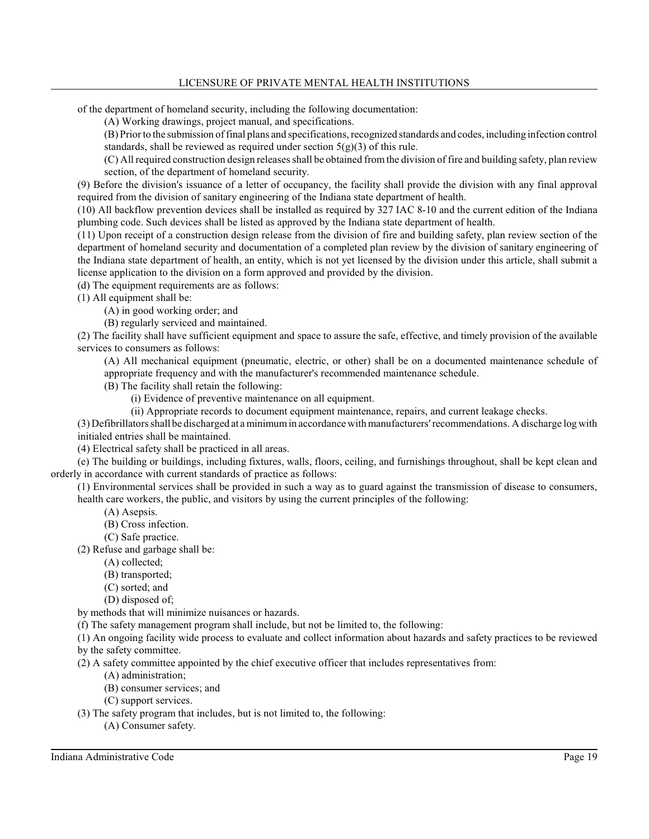# LICENSURE OF PRIVATE MENTAL HEALTH INSTITUTIONS

of the department of homeland security, including the following documentation:

(A) Working drawings, project manual, and specifications.

(B) Priorto the submission of final plans and specifications,recognized standards and codes, including infection control standards, shall be reviewed as required under section  $5(g)(3)$  of this rule.

(C) All required construction design releasesshall be obtained fromthe division of fire and building safety, plan review section, of the department of homeland security.

(9) Before the division's issuance of a letter of occupancy, the facility shall provide the division with any final approval required from the division of sanitary engineering of the Indiana state department of health.

(10) All backflow prevention devices shall be installed as required by 327 IAC 8-10 and the current edition of the Indiana plumbing code. Such devices shall be listed as approved by the Indiana state department of health.

(11) Upon receipt of a construction design release from the division of fire and building safety, plan review section of the department of homeland security and documentation of a completed plan review by the division of sanitary engineering of the Indiana state department of health, an entity, which is not yet licensed by the division under this article, shall submit a license application to the division on a form approved and provided by the division.

(d) The equipment requirements are as follows:

(1) All equipment shall be:

(A) in good working order; and

(B) regularly serviced and maintained.

(2) The facility shall have sufficient equipment and space to assure the safe, effective, and timely provision of the available services to consumers as follows:

(A) All mechanical equipment (pneumatic, electric, or other) shall be on a documented maintenance schedule of appropriate frequency and with the manufacturer's recommended maintenance schedule.

(B) The facility shall retain the following:

(i) Evidence of preventive maintenance on all equipment.

(ii) Appropriate records to document equipment maintenance, repairs, and current leakage checks.

(3) Defibrillatorsshall be discharged at a minimumin accordance with manufacturers'recommendations. A discharge log with initialed entries shall be maintained.

(4) Electrical safety shall be practiced in all areas.

(e) The building or buildings, including fixtures, walls, floors, ceiling, and furnishings throughout, shall be kept clean and orderly in accordance with current standards of practice as follows:

(1) Environmental services shall be provided in such a way as to guard against the transmission of disease to consumers, health care workers, the public, and visitors by using the current principles of the following:

- (A) Asepsis.
- (B) Cross infection.
- (C) Safe practice.

(2) Refuse and garbage shall be:

(A) collected;

- (B) transported;
- (C) sorted; and
- (D) disposed of;

by methods that will minimize nuisances or hazards.

(f) The safety management program shall include, but not be limited to, the following:

(1) An ongoing facility wide process to evaluate and collect information about hazards and safety practices to be reviewed by the safety committee.

(2) A safety committee appointed by the chief executive officer that includes representatives from:

(A) administration;

(B) consumer services; and

(C) support services.

(3) The safety program that includes, but is not limited to, the following:

(A) Consumer safety.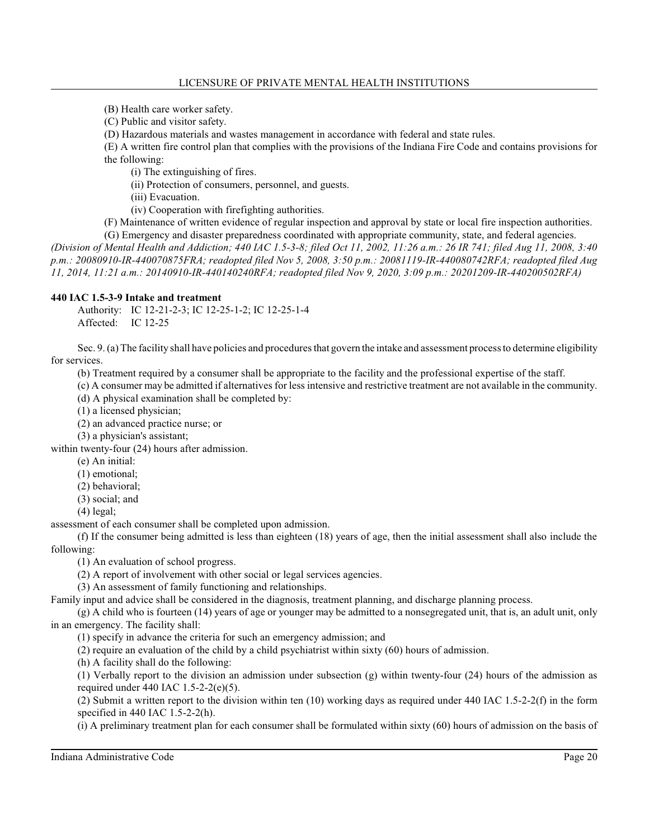- (B) Health care worker safety.
- (C) Public and visitor safety.
- (D) Hazardous materials and wastes management in accordance with federal and state rules.

(E) A written fire control plan that complies with the provisions of the Indiana Fire Code and contains provisions for the following:

(i) The extinguishing of fires.

(ii) Protection of consumers, personnel, and guests.

(iii) Evacuation.

(iv) Cooperation with firefighting authorities.

(F) Maintenance of written evidence of regular inspection and approval by state or local fire inspection authorities.

(G) Emergency and disaster preparedness coordinated with appropriate community, state, and federal agencies. *(Division of Mental Health and Addiction; 440 IAC 1.5-3-8; filed Oct 11, 2002, 11:26 a.m.: 26 IR 741; filed Aug 11, 2008, 3:40 p.m.: 20080910-IR-440070875FRA; readopted filed Nov 5, 2008, 3:50 p.m.: 20081119-IR-440080742RFA; readopted filed Aug 11, 2014, 11:21 a.m.: 20140910-IR-440140240RFA; readopted filed Nov 9, 2020, 3:09 p.m.: 20201209-IR-440200502RFA)*

## **440 IAC 1.5-3-9 Intake and treatment**

Authority: IC 12-21-2-3; IC 12-25-1-2; IC 12-25-1-4 Affected: IC 12-25

Sec. 9. (a) The facility shall have policies and proceduresthat govern the intake and assessment process to determine eligibility for services.

(b) Treatment required by a consumer shall be appropriate to the facility and the professional expertise of the staff.

(c) A consumer may be admitted if alternatives for less intensive and restrictive treatment are not available in the community.

(d) A physical examination shall be completed by:

(1) a licensed physician;

(2) an advanced practice nurse; or

(3) a physician's assistant;

within twenty-four (24) hours after admission.

(e) An initial:

(1) emotional;

(2) behavioral;

(3) social; and

(4) legal;

assessment of each consumer shall be completed upon admission.

(f) If the consumer being admitted is less than eighteen (18) years of age, then the initial assessment shall also include the following:

(1) An evaluation of school progress.

(2) A report of involvement with other social or legal services agencies.

(3) An assessment of family functioning and relationships.

Family input and advice shall be considered in the diagnosis, treatment planning, and discharge planning process.

(g) A child who is fourteen (14) years of age or younger may be admitted to a nonsegregated unit, that is, an adult unit, only in an emergency. The facility shall:

(1) specify in advance the criteria for such an emergency admission; and

(2) require an evaluation of the child by a child psychiatrist within sixty (60) hours of admission.

(h) A facility shall do the following:

(1) Verbally report to the division an admission under subsection (g) within twenty-four (24) hours of the admission as required under 440 IAC 1.5-2-2(e)(5).

(2) Submit a written report to the division within ten (10) working days as required under 440 IAC 1.5-2-2(f) in the form specified in 440 IAC 1.5-2-2(h).

(i) A preliminary treatment plan for each consumer shall be formulated within sixty (60) hours of admission on the basis of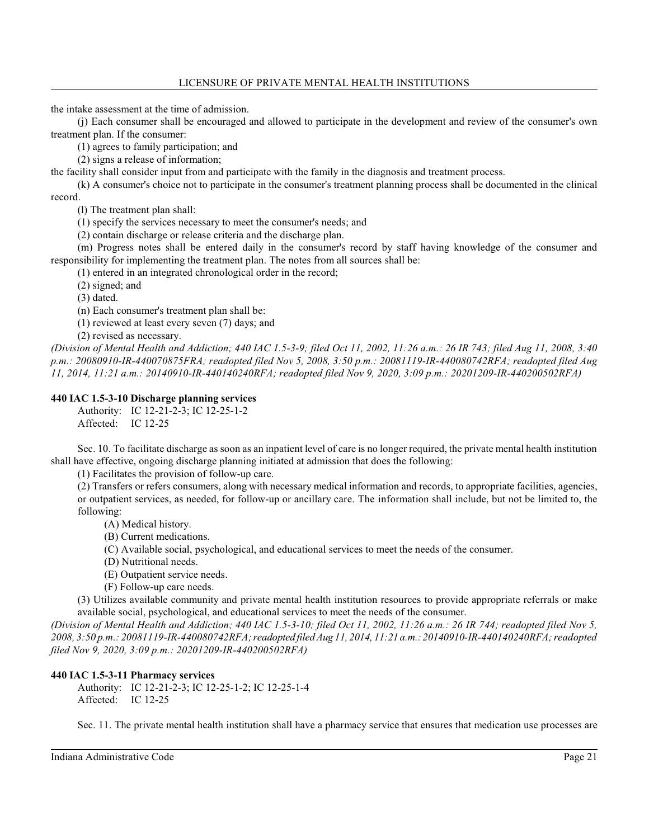the intake assessment at the time of admission.

(j) Each consumer shall be encouraged and allowed to participate in the development and review of the consumer's own treatment plan. If the consumer:

(1) agrees to family participation; and

(2) signs a release of information;

the facility shall consider input from and participate with the family in the diagnosis and treatment process.

(k) A consumer's choice not to participate in the consumer's treatment planning process shall be documented in the clinical record.

(l) The treatment plan shall:

(1) specify the services necessary to meet the consumer's needs; and

(2) contain discharge or release criteria and the discharge plan.

(m) Progress notes shall be entered daily in the consumer's record by staff having knowledge of the consumer and responsibility for implementing the treatment plan. The notes from all sources shall be:

(1) entered in an integrated chronological order in the record;

(2) signed; and

(3) dated.

(n) Each consumer's treatment plan shall be:

(1) reviewed at least every seven (7) days; and

(2) revised as necessary.

*(Division of Mental Health and Addiction; 440 IAC 1.5-3-9; filed Oct 11, 2002, 11:26 a.m.: 26 IR 743; filed Aug 11, 2008, 3:40 p.m.: 20080910-IR-440070875FRA; readopted filed Nov 5, 2008, 3:50 p.m.: 20081119-IR-440080742RFA; readopted filed Aug 11, 2014, 11:21 a.m.: 20140910-IR-440140240RFA; readopted filed Nov 9, 2020, 3:09 p.m.: 20201209-IR-440200502RFA)*

## **440 IAC 1.5-3-10 Discharge planning services**

Authority: IC 12-21-2-3; IC 12-25-1-2 Affected: IC 12-25

Sec. 10. To facilitate discharge as soon as an inpatient level of care is no longer required, the private mental health institution shall have effective, ongoing discharge planning initiated at admission that does the following:

(1) Facilitates the provision of follow-up care.

(2) Transfers or refers consumers, along with necessary medical information and records, to appropriate facilities, agencies, or outpatient services, as needed, for follow-up or ancillary care. The information shall include, but not be limited to, the following:

- (A) Medical history.
- (B) Current medications.
- (C) Available social, psychological, and educational services to meet the needs of the consumer.
- (D) Nutritional needs.
- (E) Outpatient service needs.
- (F) Follow-up care needs.

(3) Utilizes available community and private mental health institution resources to provide appropriate referrals or make available social, psychological, and educational services to meet the needs of the consumer.

*(Division of Mental Health and Addiction; 440 IAC 1.5-3-10; filed Oct 11, 2002, 11:26 a.m.: 26 IR 744; readopted filed Nov 5, 2008, 3:50 p.m.: 20081119-IR-440080742RFA; readopted filed Aug 11, 2014, 11:21 a.m.:20140910-IR-440140240RFA; readopted filed Nov 9, 2020, 3:09 p.m.: 20201209-IR-440200502RFA)*

# **440 IAC 1.5-3-11 Pharmacy services**

Authority: IC 12-21-2-3; IC 12-25-1-2; IC 12-25-1-4 Affected: IC 12-25

Sec. 11. The private mental health institution shall have a pharmacy service that ensures that medication use processes are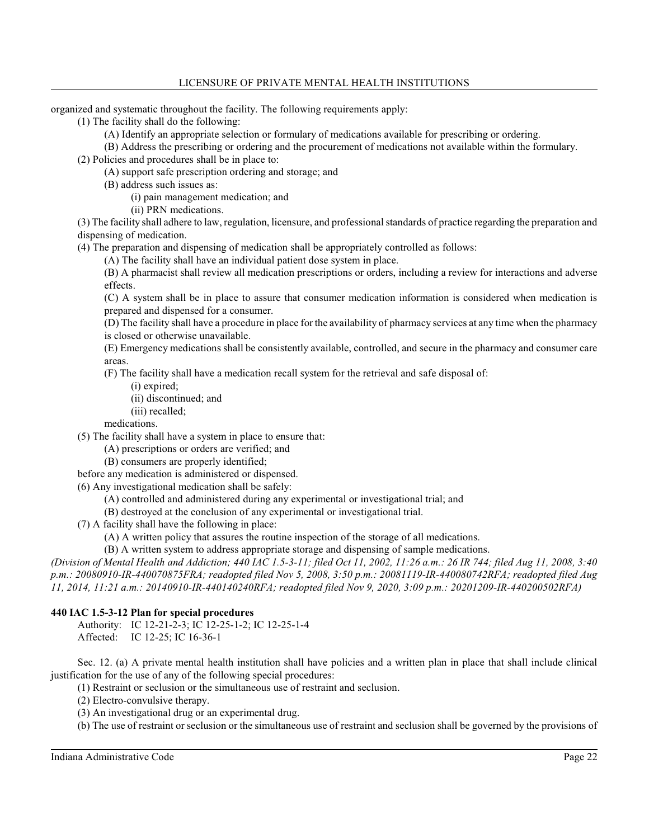organized and systematic throughout the facility. The following requirements apply:

(1) The facility shall do the following:

(A) Identify an appropriate selection or formulary of medications available for prescribing or ordering.

(B) Address the prescribing or ordering and the procurement of medications not available within the formulary.

(2) Policies and procedures shall be in place to:

(A) support safe prescription ordering and storage; and

(B) address such issues as:

(i) pain management medication; and

(ii) PRN medications.

(3) The facility shall adhere to law, regulation, licensure, and professional standards of practice regarding the preparation and dispensing of medication.

(4) The preparation and dispensing of medication shall be appropriately controlled as follows:

(A) The facility shall have an individual patient dose system in place.

(B) A pharmacist shall review all medication prescriptions or orders, including a review for interactions and adverse effects.

(C) A system shall be in place to assure that consumer medication information is considered when medication is prepared and dispensed for a consumer.

(D) The facility shall have a procedure in place for the availability of pharmacy services at any time when the pharmacy is closed or otherwise unavailable.

(E) Emergency medications shall be consistently available, controlled, and secure in the pharmacy and consumer care areas.

(F) The facility shall have a medication recall system for the retrieval and safe disposal of:

- (i) expired;
- (ii) discontinued; and
- (iii) recalled;

medications.

(5) The facility shall have a system in place to ensure that:

(A) prescriptions or orders are verified; and

(B) consumers are properly identified;

before any medication is administered or dispensed.

(6) Any investigational medication shall be safely:

- (A) controlled and administered during any experimental or investigational trial; and
- (B) destroyed at the conclusion of any experimental or investigational trial.

(7) A facility shall have the following in place:

(A) A written policy that assures the routine inspection of the storage of all medications.

(B) A written system to address appropriate storage and dispensing of sample medications.

*(Division of Mental Health and Addiction; 440 IAC 1.5-3-11; filed Oct 11, 2002, 11:26 a.m.: 26 IR 744; filed Aug 11, 2008, 3:40 p.m.: 20080910-IR-440070875FRA; readopted filed Nov 5, 2008, 3:50 p.m.: 20081119-IR-440080742RFA; readopted filed Aug 11, 2014, 11:21 a.m.: 20140910-IR-440140240RFA; readopted filed Nov 9, 2020, 3:09 p.m.: 20201209-IR-440200502RFA)*

# **440 IAC 1.5-3-12 Plan for special procedures**

Authority: IC 12-21-2-3; IC 12-25-1-2; IC 12-25-1-4 Affected: IC 12-25; IC 16-36-1

Sec. 12. (a) A private mental health institution shall have policies and a written plan in place that shall include clinical justification for the use of any of the following special procedures:

(1) Restraint or seclusion or the simultaneous use of restraint and seclusion.

(2) Electro-convulsive therapy.

(3) An investigational drug or an experimental drug.

(b) The use of restraint or seclusion or the simultaneous use of restraint and seclusion shall be governed by the provisions of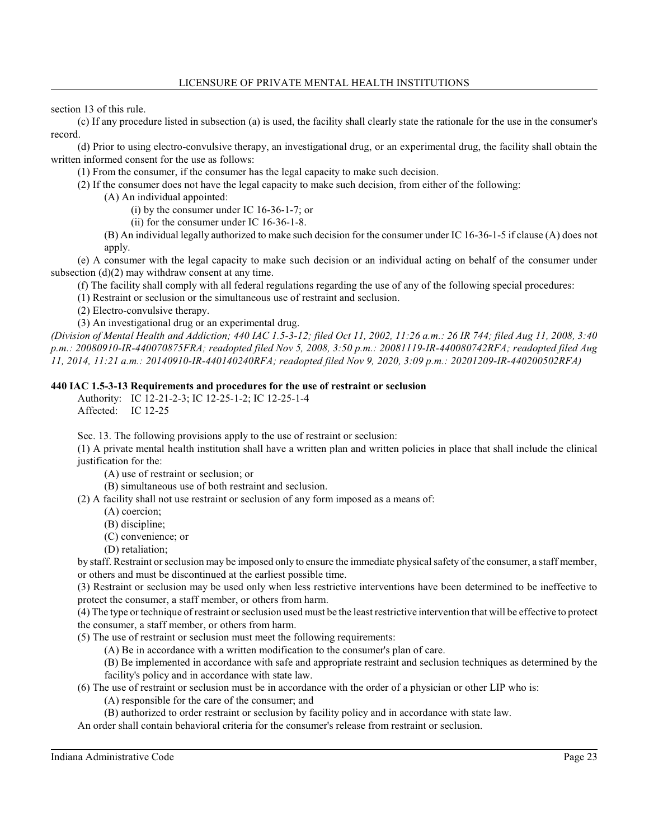section 13 of this rule.

(c) If any procedure listed in subsection (a) is used, the facility shall clearly state the rationale for the use in the consumer's record.

(d) Prior to using electro-convulsive therapy, an investigational drug, or an experimental drug, the facility shall obtain the written informed consent for the use as follows:

(1) From the consumer, if the consumer has the legal capacity to make such decision.

(2) If the consumer does not have the legal capacity to make such decision, from either of the following:

(A) An individual appointed:

(i) by the consumer under IC 16-36-1-7; or

(ii) for the consumer under IC 16-36-1-8.

(B) An individual legally authorized to make such decision for the consumer under IC 16-36-1-5 if clause (A) does not apply.

(e) A consumer with the legal capacity to make such decision or an individual acting on behalf of the consumer under subsection  $(d)(2)$  may withdraw consent at any time.

(f) The facility shall comply with all federal regulations regarding the use of any of the following special procedures:

(1) Restraint or seclusion or the simultaneous use of restraint and seclusion.

(2) Electro-convulsive therapy.

(3) An investigational drug or an experimental drug.

*(Division of Mental Health and Addiction; 440 IAC 1.5-3-12; filed Oct 11, 2002, 11:26 a.m.: 26 IR 744; filed Aug 11, 2008, 3:40 p.m.: 20080910-IR-440070875FRA; readopted filed Nov 5, 2008, 3:50 p.m.: 20081119-IR-440080742RFA; readopted filed Aug 11, 2014, 11:21 a.m.: 20140910-IR-440140240RFA; readopted filed Nov 9, 2020, 3:09 p.m.: 20201209-IR-440200502RFA)*

## **440 IAC 1.5-3-13 Requirements and procedures for the use of restraint or seclusion**

Authority: IC 12-21-2-3; IC 12-25-1-2; IC 12-25-1-4 Affected: IC 12-25

Sec. 13. The following provisions apply to the use of restraint or seclusion:

(1) A private mental health institution shall have a written plan and written policies in place that shall include the clinical justification for the:

(A) use of restraint or seclusion; or

(B) simultaneous use of both restraint and seclusion.

(2) A facility shall not use restraint or seclusion of any form imposed as a means of:

- (A) coercion;
- (B) discipline;
- (C) convenience; or
- (D) retaliation;

by staff. Restraint or seclusion may be imposed only to ensure the immediate physical safety of the consumer, a staff member, or others and must be discontinued at the earliest possible time.

(3) Restraint or seclusion may be used only when less restrictive interventions have been determined to be ineffective to protect the consumer, a staff member, or others from harm.

(4) The type or technique of restraint orseclusion used must be the least restrictive intervention that will be effective to protect the consumer, a staff member, or others from harm.

(5) The use of restraint or seclusion must meet the following requirements:

(A) Be in accordance with a written modification to the consumer's plan of care.

(B) Be implemented in accordance with safe and appropriate restraint and seclusion techniques as determined by the facility's policy and in accordance with state law.

(6) The use of restraint or seclusion must be in accordance with the order of a physician or other LIP who is:

(A) responsible for the care of the consumer; and

(B) authorized to order restraint or seclusion by facility policy and in accordance with state law.

An order shall contain behavioral criteria for the consumer's release from restraint or seclusion.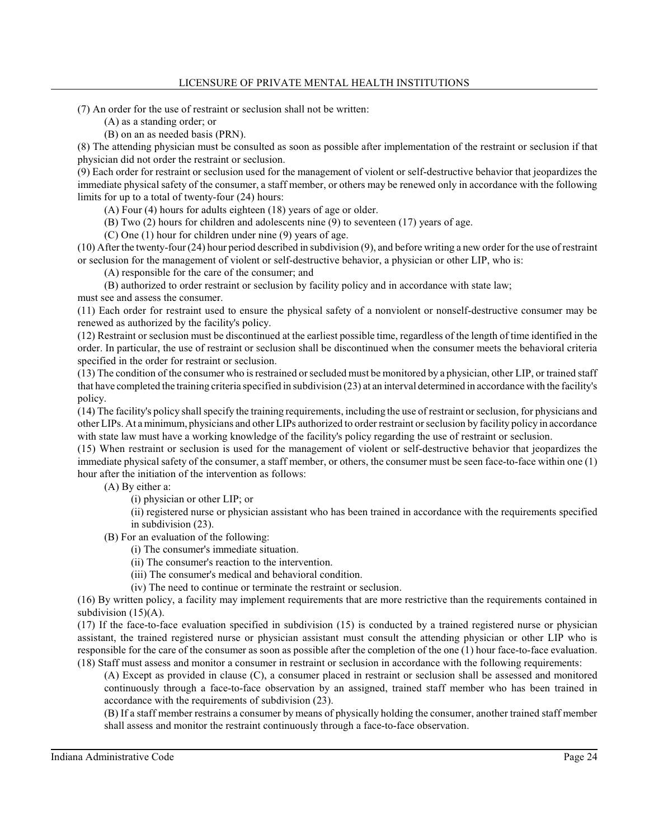## LICENSURE OF PRIVATE MENTAL HEALTH INSTITUTIONS

(7) An order for the use of restraint or seclusion shall not be written:

(A) as a standing order; or

(B) on an as needed basis (PRN).

(8) The attending physician must be consulted as soon as possible after implementation of the restraint or seclusion if that physician did not order the restraint or seclusion.

(9) Each order for restraint or seclusion used for the management of violent or self-destructive behavior that jeopardizes the immediate physical safety of the consumer, a staff member, or others may be renewed only in accordance with the following limits for up to a total of twenty-four (24) hours:

(A) Four (4) hours for adults eighteen (18) years of age or older.

(B) Two (2) hours for children and adolescents nine (9) to seventeen (17) years of age.

(C) One (1) hour for children under nine (9) years of age.

(10) After the twenty-four (24) hour period described in subdivision (9), and before writing a new order for the use of restraint or seclusion for the management of violent or self-destructive behavior, a physician or other LIP, who is:

(A) responsible for the care of the consumer; and

(B) authorized to order restraint or seclusion by facility policy and in accordance with state law;

must see and assess the consumer.

(11) Each order for restraint used to ensure the physical safety of a nonviolent or nonself-destructive consumer may be renewed as authorized by the facility's policy.

(12) Restraint or seclusion must be discontinued at the earliest possible time, regardless of the length of time identified in the order. In particular, the use of restraint or seclusion shall be discontinued when the consumer meets the behavioral criteria specified in the order for restraint or seclusion.

(13) The condition of the consumer who is restrained orsecluded must be monitored by a physician, other LIP, or trained staff that have completed the training criteria specified in subdivision (23) at an interval determined in accordance with the facility's policy.

(14) The facility's policy shall specify the training requirements, including the use of restraint orseclusion, for physicians and other LIPs. At a minimum, physicians and other LIPs authorized to order restraint orseclusion by facility policy in accordance with state law must have a working knowledge of the facility's policy regarding the use of restraint or seclusion.

(15) When restraint or seclusion is used for the management of violent or self-destructive behavior that jeopardizes the immediate physical safety of the consumer, a staff member, or others, the consumer must be seen face-to-face within one (1) hour after the initiation of the intervention as follows:

(A) By either a:

(i) physician or other LIP; or

(ii) registered nurse or physician assistant who has been trained in accordance with the requirements specified in subdivision (23).

(B) For an evaluation of the following:

(i) The consumer's immediate situation.

(ii) The consumer's reaction to the intervention.

(iii) The consumer's medical and behavioral condition.

(iv) The need to continue or terminate the restraint or seclusion.

(16) By written policy, a facility may implement requirements that are more restrictive than the requirements contained in subdivision  $(15)(A)$ .

(17) If the face-to-face evaluation specified in subdivision (15) is conducted by a trained registered nurse or physician assistant, the trained registered nurse or physician assistant must consult the attending physician or other LIP who is responsible for the care of the consumer as soon as possible after the completion of the one (1) hour face-to-face evaluation. (18) Staff must assess and monitor a consumer in restraint or seclusion in accordance with the following requirements:

(A) Except as provided in clause (C), a consumer placed in restraint or seclusion shall be assessed and monitored continuously through a face-to-face observation by an assigned, trained staff member who has been trained in accordance with the requirements of subdivision (23).

(B) If a staff member restrains a consumer by means of physically holding the consumer, another trained staff member shall assess and monitor the restraint continuously through a face-to-face observation.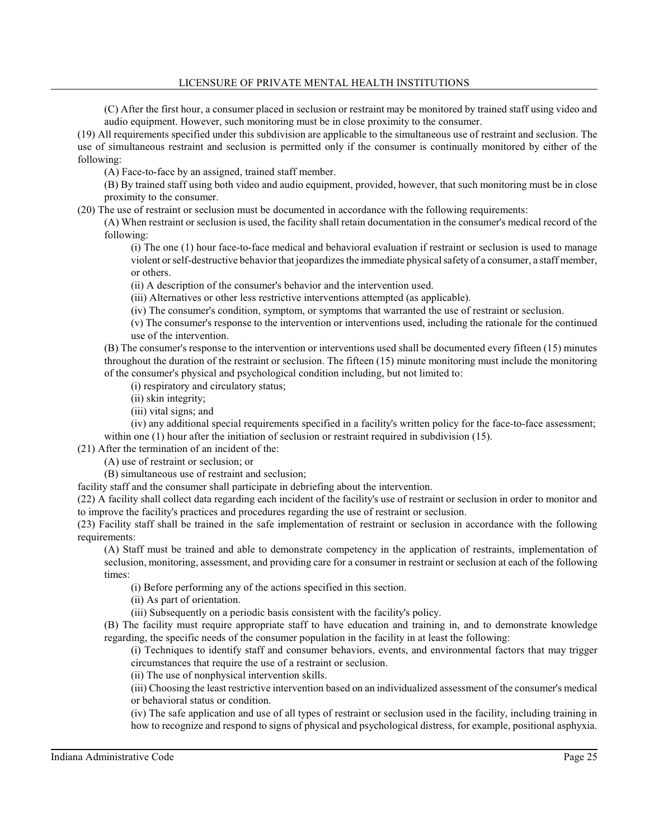## LICENSURE OF PRIVATE MENTAL HEALTH INSTITUTIONS

(C) After the first hour, a consumer placed in seclusion or restraint may be monitored by trained staff using video and audio equipment. However, such monitoring must be in close proximity to the consumer.

(19) All requirements specified under this subdivision are applicable to the simultaneous use of restraint and seclusion. The use of simultaneous restraint and seclusion is permitted only if the consumer is continually monitored by either of the following:

(A) Face-to-face by an assigned, trained staff member.

(B) By trained staff using both video and audio equipment, provided, however, that such monitoring must be in close proximity to the consumer.

(20) The use of restraint or seclusion must be documented in accordance with the following requirements:

(A) When restraint or seclusion is used, the facility shall retain documentation in the consumer's medical record of the following:

(i) The one (1) hour face-to-face medical and behavioral evaluation if restraint or seclusion is used to manage violent orself-destructive behavior that jeopardizesthe immediate physical safety of a consumer, a staff member, or others.

(ii) A description of the consumer's behavior and the intervention used.

(iii) Alternatives or other less restrictive interventions attempted (as applicable).

(iv) The consumer's condition, symptom, or symptoms that warranted the use of restraint or seclusion.

(v) The consumer's response to the intervention or interventions used, including the rationale for the continued use of the intervention.

(B) The consumer's response to the intervention or interventions used shall be documented every fifteen (15) minutes throughout the duration of the restraint or seclusion. The fifteen (15) minute monitoring must include the monitoring of the consumer's physical and psychological condition including, but not limited to:

(i) respiratory and circulatory status;

(ii) skin integrity;

(iii) vital signs; and

(iv) any additional special requirements specified in a facility's written policy for the face-to-face assessment; within one (1) hour after the initiation of seclusion or restraint required in subdivision (15).

(21) After the termination of an incident of the:

(A) use of restraint or seclusion; or

(B) simultaneous use of restraint and seclusion;

facility staff and the consumer shall participate in debriefing about the intervention.

(22) A facility shall collect data regarding each incident of the facility's use of restraint or seclusion in order to monitor and to improve the facility's practices and procedures regarding the use of restraint or seclusion.

(23) Facility staff shall be trained in the safe implementation of restraint or seclusion in accordance with the following requirements:

(A) Staff must be trained and able to demonstrate competency in the application of restraints, implementation of seclusion, monitoring, assessment, and providing care for a consumer in restraint or seclusion at each of the following times:

(i) Before performing any of the actions specified in this section.

(ii) As part of orientation.

(iii) Subsequently on a periodic basis consistent with the facility's policy.

(B) The facility must require appropriate staff to have education and training in, and to demonstrate knowledge regarding, the specific needs of the consumer population in the facility in at least the following:

(i) Techniques to identify staff and consumer behaviors, events, and environmental factors that may trigger circumstances that require the use of a restraint or seclusion.

(ii) The use of nonphysical intervention skills.

(iii) Choosing the least restrictive intervention based on an individualized assessment of the consumer's medical or behavioral status or condition.

(iv) The safe application and use of all types of restraint or seclusion used in the facility, including training in how to recognize and respond to signs of physical and psychological distress, for example, positional asphyxia.